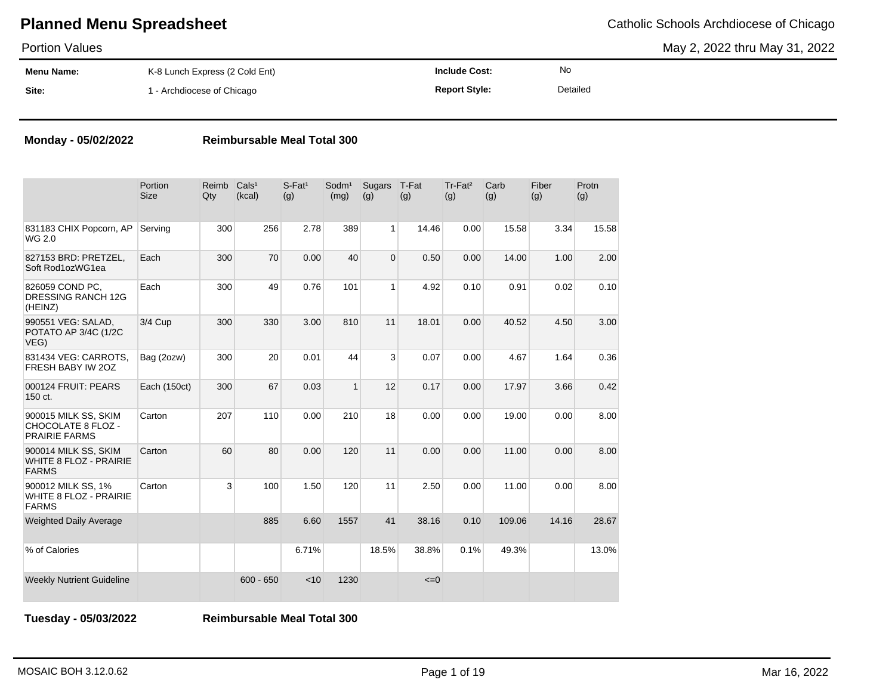May 2, 2022 thru May 31, 2022

| <b>Portion Values</b> |                                |                      |          | May 2, 2022 thru May 31, 20 |
|-----------------------|--------------------------------|----------------------|----------|-----------------------------|
| <b>Menu Name:</b>     | K-8 Lunch Express (2 Cold Ent) | <b>Include Cost:</b> | No       |                             |
| Site:                 | - Archdiocese of Chicago       | <b>Report Style:</b> | Detailed |                             |

### **Monday - 05/02/2022 Reimbursable Meal Total 300**

|                                                                       | Portion<br><b>Size</b> | Reimb<br>Qty | Cals <sup>1</sup><br>(kcal) | $S$ -Fat <sup>1</sup><br>(g) | Sodm <sup>1</sup><br>(mg) | Sugars<br>(g)  | T-Fat<br>(g) | Tr-Fat <sup>2</sup><br>(g) | Carb<br>(g) | Fiber<br>(g) | Protn<br>(g) |
|-----------------------------------------------------------------------|------------------------|--------------|-----------------------------|------------------------------|---------------------------|----------------|--------------|----------------------------|-------------|--------------|--------------|
| 831183 CHIX Popcorn, AP<br>WG 2.0                                     | Serving                | 300          | 256                         | 2.78                         | 389                       | $\mathbf{1}$   | 14.46        | 0.00                       | 15.58       | 3.34         | 15.58        |
| 827153 BRD: PRETZEL,<br>Soft Rod1ozWG1ea                              | Each                   | 300          | 70                          | 0.00                         | 40                        | $\overline{0}$ | 0.50         | 0.00                       | 14.00       | 1.00         | 2.00         |
| 826059 COND PC.<br><b>DRESSING RANCH 12G</b><br>(HEINZ)               | Each                   | 300          | 49                          | 0.76                         | 101                       | $\mathbf{1}$   | 4.92         | 0.10                       | 0.91        | 0.02         | 0.10         |
| 990551 VEG: SALAD,<br>POTATO AP 3/4C (1/2C<br>VEG)                    | 3/4 Cup                | 300          | 330                         | 3.00                         | 810                       | 11             | 18.01        | 0.00                       | 40.52       | 4.50         | 3.00         |
| 831434 VEG: CARROTS,<br>FRESH BABY IW 20Z                             | Bag (2ozw)             | 300          | 20                          | 0.01                         | 44                        | 3              | 0.07         | 0.00                       | 4.67        | 1.64         | 0.36         |
| 000124 FRUIT: PEARS<br>150 ct.                                        | Each (150ct)           | 300          | 67                          | 0.03                         | $\mathbf{1}$              | 12             | 0.17         | 0.00                       | 17.97       | 3.66         | 0.42         |
| 900015 MILK SS, SKIM<br>CHOCOLATE 8 FLOZ -<br><b>PRAIRIE FARMS</b>    | Carton                 | 207          | 110                         | 0.00                         | 210                       | 18             | 0.00         | 0.00                       | 19.00       | 0.00         | 8.00         |
| 900014 MILK SS, SKIM<br><b>WHITE 8 FLOZ - PRAIRIE</b><br><b>FARMS</b> | Carton                 | 60           | 80                          | 0.00                         | 120                       | 11             | 0.00         | 0.00                       | 11.00       | 0.00         | 8.00         |
| 900012 MILK SS, 1%<br><b>WHITE 8 FLOZ - PRAIRIE</b><br><b>FARMS</b>   | Carton                 | 3            | 100                         | 1.50                         | 120                       | 11             | 2.50         | 0.00                       | 11.00       | 0.00         | 8.00         |
| <b>Weighted Daily Average</b>                                         |                        |              | 885                         | 6.60                         | 1557                      | 41             | 38.16        | 0.10                       | 109.06      | 14.16        | 28.67        |
| % of Calories                                                         |                        |              |                             | 6.71%                        |                           | 18.5%          | 38.8%        | 0.1%                       | 49.3%       |              | 13.0%        |
| <b>Weekly Nutrient Guideline</b>                                      |                        |              | $600 - 650$                 | < 10                         | 1230                      |                | $\leq=0$     |                            |             |              |              |

**Tuesday - 05/03/2022 Reimbursable Meal Total 300**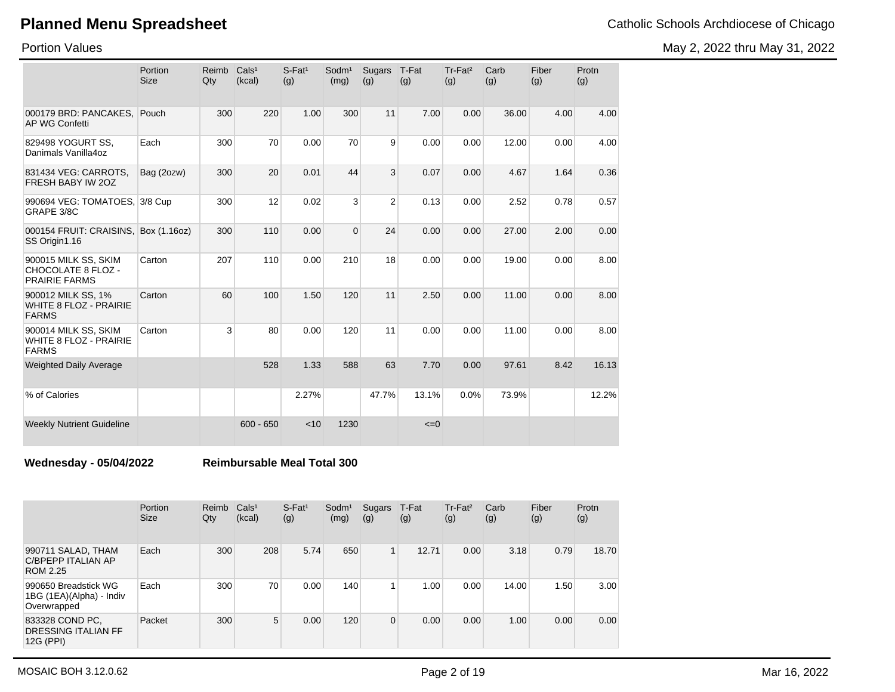Portion Values

May 2, 2022 thru May 31, 2022

|                                                                       | Portion<br><b>Size</b> | Reimb<br>Qty | Cals <sup>1</sup><br>(kcal) | $S$ -Fat <sup>1</sup><br>(g) | Sodm <sup>1</sup><br>(mg) | Sugars<br>(g)  | T-Fat<br>(g) | Tr-Fat <sup>2</sup><br>(g) | Carb<br>(g) | Fiber<br>(g) | Protn<br>(g) |
|-----------------------------------------------------------------------|------------------------|--------------|-----------------------------|------------------------------|---------------------------|----------------|--------------|----------------------------|-------------|--------------|--------------|
| 000179 BRD: PANCAKES.<br><b>AP WG Confetti</b>                        | Pouch                  | 300          | 220                         | 1.00                         | 300                       | 11             | 7.00         | 0.00                       | 36.00       | 4.00         | 4.00         |
| 829498 YOGURT SS,<br>Danimals Vanilla4oz                              | Each                   | 300          | 70                          | 0.00                         | 70                        | 9              | 0.00         | 0.00                       | 12.00       | 0.00         | 4.00         |
| 831434 VEG: CARROTS,<br>FRESH BABY IW 2OZ                             | Bag (2ozw)             | 300          | 20                          | 0.01                         | 44                        | 3              | 0.07         | 0.00                       | 4.67        | 1.64         | 0.36         |
| 990694 VEG: TOMATOES, 3/8 Cup<br>GRAPE 3/8C                           |                        | 300          | 12                          | 0.02                         | 3                         | $\overline{2}$ | 0.13         | 0.00                       | 2.52        | 0.78         | 0.57         |
| 000154 FRUIT: CRAISINS, Box (1.16oz)<br>SS Origin1.16                 |                        | 300          | 110                         | 0.00                         | $\overline{0}$            | 24             | 0.00         | 0.00                       | 27.00       | 2.00         | 0.00         |
| 900015 MILK SS, SKIM<br>CHOCOLATE 8 FLOZ -<br><b>PRAIRIE FARMS</b>    | Carton                 | 207          | 110                         | 0.00                         | 210                       | 18             | 0.00         | 0.00                       | 19.00       | 0.00         | 8.00         |
| 900012 MILK SS, 1%<br><b>WHITE 8 FLOZ - PRAIRIE</b><br><b>FARMS</b>   | Carton                 | 60           | 100                         | 1.50                         | 120                       | 11             | 2.50         | 0.00                       | 11.00       | 0.00         | 8.00         |
| 900014 MILK SS, SKIM<br><b>WHITE 8 FLOZ - PRAIRIE</b><br><b>FARMS</b> | Carton                 | 3            | 80                          | 0.00                         | 120                       | 11             | 0.00         | 0.00                       | 11.00       | 0.00         | 8.00         |
| <b>Weighted Daily Average</b>                                         |                        |              | 528                         | 1.33                         | 588                       | 63             | 7.70         | 0.00                       | 97.61       | 8.42         | 16.13        |
| % of Calories                                                         |                        |              |                             | 2.27%                        |                           | 47.7%          | 13.1%        | 0.0%                       | 73.9%       |              | 12.2%        |
| <b>Weekly Nutrient Guideline</b>                                      |                        |              | $600 - 650$                 | < 10                         | 1230                      |                | $\leq=0$     |                            |             |              |              |

**Wednesday - 05/04/2022 Reimbursable Meal Total 300**

|                                                                 | Portion<br><b>Size</b> | Reimb<br>Qty | Cals <sup>1</sup><br>(kcal) | $S$ -Fat <sup>1</sup><br>(g) | Sodm <sup>1</sup><br>(mg) | Sugars<br>(g) | T-Fat<br>(g) | Tr-Fat <sup>2</sup><br>(g) | Carb<br>(g) | Fiber<br>(g) | Protn<br>(g) |
|-----------------------------------------------------------------|------------------------|--------------|-----------------------------|------------------------------|---------------------------|---------------|--------------|----------------------------|-------------|--------------|--------------|
| 990711 SALAD, THAM<br>C/BPEPP ITALIAN AP<br>ROM 2.25            | Each                   | 300          | 208                         | 5.74                         | 650                       | $\mathbf{1}$  | 12.71        | 0.00                       | 3.18        | 0.79         | 18.70        |
| 990650 Breadstick WG<br>1BG (1EA)(Alpha) - Indiv<br>Overwrapped | Each                   | 300          | 70                          | 0.00                         | 140                       | 1             | 1.00         | 0.00                       | 14.00       | 1.50         | 3.00         |
| 833328 COND PC,<br>DRESSING ITALIAN FF<br>12G (PPI)             | Packet                 | 300          | 5                           | 0.00                         | 120                       | $\mathbf{0}$  | 0.00         | 0.00                       | 1.00        | 0.00         | 0.00         |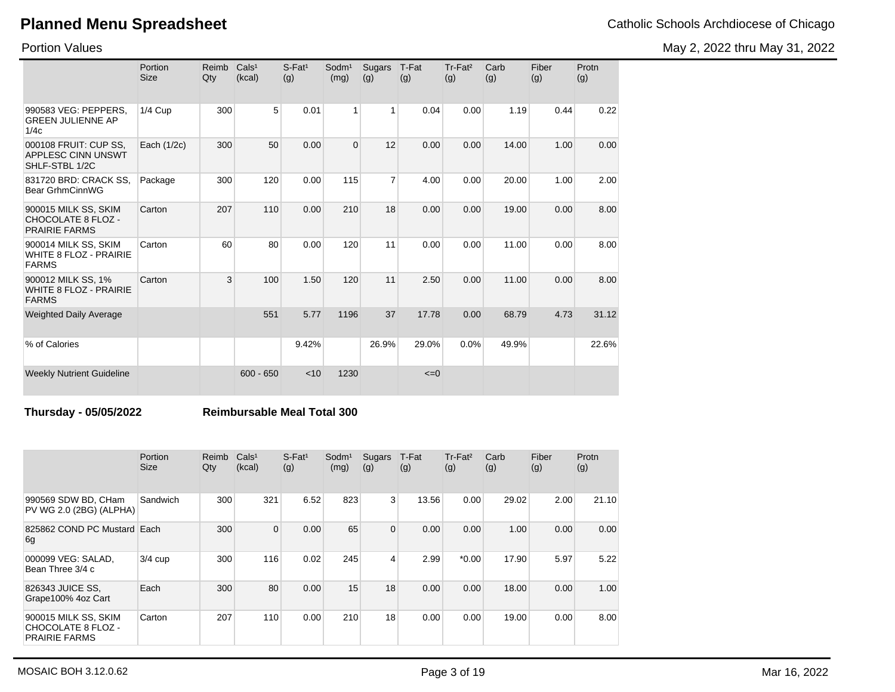May 2, 2022 thru May 31, 2022

Portion Values

|                                                                       | Portion<br><b>Size</b> | Reimb<br>Qty | Cals <sup>1</sup><br>(kcal) | $S$ -Fat <sup>1</sup><br>(g) | Sodm <sup>1</sup><br>(mg) | Sugars<br>(g)  | T-Fat<br>(g) | Tr-Fat <sup>2</sup><br>(g) | Carb<br>(g) | Fiber<br>(g) | Protn<br>(g) |
|-----------------------------------------------------------------------|------------------------|--------------|-----------------------------|------------------------------|---------------------------|----------------|--------------|----------------------------|-------------|--------------|--------------|
| 990583 VEG: PEPPERS,<br><b>GREEN JULIENNE AP</b><br>1/4c              | 1/4 Cup                | 300          | 5                           | 0.01                         | $\mathbf{1}$              | 1              | 0.04         | 0.00                       | 1.19        | 0.44         | 0.22         |
| 000108 FRUIT: CUP SS,<br><b>APPLESC CINN UNSWT</b><br>SHLF-STBL 1/2C  | Each (1/2c)            | 300          | 50                          | 0.00                         | $\Omega$                  | 12             | 0.00         | 0.00                       | 14.00       | 1.00         | 0.00         |
| 831720 BRD: CRACK SS.<br>Bear GrhmCinnWG                              | Package                | 300          | 120                         | 0.00                         | 115                       | $\overline{7}$ | 4.00         | 0.00                       | 20.00       | 1.00         | 2.00         |
| 900015 MILK SS, SKIM<br>CHOCOLATE 8 FLOZ -<br><b>PRAIRIE FARMS</b>    | Carton                 | 207          | 110                         | 0.00                         | 210                       | 18             | 0.00         | 0.00                       | 19.00       | 0.00         | 8.00         |
| 900014 MILK SS, SKIM<br><b>WHITE 8 FLOZ - PRAIRIE</b><br><b>FARMS</b> | Carton                 | 60           | 80                          | 0.00                         | 120                       | 11             | 0.00         | 0.00                       | 11.00       | 0.00         | 8.00         |
| 900012 MILK SS, 1%<br><b>WHITE 8 FLOZ - PRAIRIE</b><br><b>FARMS</b>   | Carton                 | 3            | 100                         | 1.50                         | 120                       | 11             | 2.50         | 0.00                       | 11.00       | 0.00         | 8.00         |
| <b>Weighted Daily Average</b>                                         |                        |              | 551                         | 5.77                         | 1196                      | 37             | 17.78        | 0.00                       | 68.79       | 4.73         | 31.12        |
| % of Calories                                                         |                        |              |                             | 9.42%                        |                           | 26.9%          | 29.0%        | 0.0%                       | 49.9%       |              | 22.6%        |
| <b>Weekly Nutrient Guideline</b>                                      |                        |              | $600 - 650$                 | < 10                         | 1230                      |                | $\leq=0$     |                            |             |              |              |

### **Thursday - 05/05/2022 Reimbursable Meal Total 300**

|                                                                    | <b>Portion</b><br><b>Size</b> | Reimb<br>Qty | Cals <sup>1</sup><br>(kcal) | $S-Fat1$<br>(g) | Sodm <sup>1</sup><br>(mg) | Sugars<br>(g)  | T-Fat<br>(g) | Tr-Fat <sup>2</sup><br>(g) | Carb<br>(g) | Fiber<br>(g) | Protn<br>(g) |
|--------------------------------------------------------------------|-------------------------------|--------------|-----------------------------|-----------------|---------------------------|----------------|--------------|----------------------------|-------------|--------------|--------------|
| 990569 SDW BD, CHam<br>PV WG 2.0 (2BG) (ALPHA)                     | Sandwich                      | 300          | 321                         | 6.52            | 823                       | 3              | 13.56        | 0.00                       | 29.02       | 2.00         | 21.10        |
| 825862 COND PC Mustard Each<br>6g                                  |                               | 300          | $\Omega$                    | 0.00            | 65                        | $\overline{0}$ | 0.00         | 0.00                       | 1.00        | 0.00         | 0.00         |
| 000099 VEG: SALAD,<br>Bean Three 3/4 c                             | $3/4$ cup                     | 300          | 116                         | 0.02            | 245                       | $\overline{4}$ | 2.99         | $*0.00$                    | 17.90       | 5.97         | 5.22         |
| 826343 JUICE SS,<br>Grape100% 4oz Cart                             | Each                          | 300          | 80                          | 0.00            | 15                        | 18             | 0.00         | 0.00                       | 18.00       | 0.00         | 1.00         |
| 900015 MILK SS, SKIM<br>CHOCOLATE 8 FLOZ -<br><b>PRAIRIE FARMS</b> | Carton                        | 207          | 110                         | 0.00            | 210                       | 18             | 0.00         | 0.00                       | 19.00       | 0.00         | 8.00         |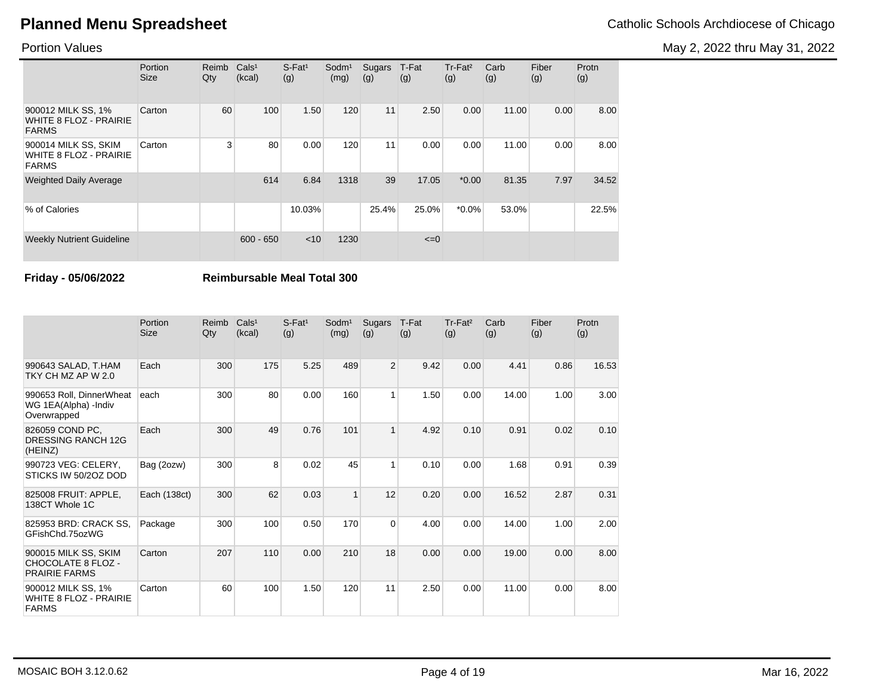May 2, 2022 thru May 31, 2022

### Portion Values

|                                                                       | Portion<br><b>Size</b> | Reimb<br>Qty   | Cals <sup>1</sup><br>(kcal) | $S$ -Fat <sup>1</sup><br>(g) | Sodm <sup>1</sup><br>(mg) | Sugars<br>(g) | T-Fat<br>(g) | Tr-Fat <sup>2</sup><br>(g) | Carb<br>(g) | Fiber<br>(g) | Protn<br>(g) |
|-----------------------------------------------------------------------|------------------------|----------------|-----------------------------|------------------------------|---------------------------|---------------|--------------|----------------------------|-------------|--------------|--------------|
| 900012 MILK SS, 1%<br><b>WHITE 8 FLOZ - PRAIRIE</b><br><b>FARMS</b>   | Carton                 | 60             | 100                         | 1.50                         | 120                       | 11            | 2.50         | 0.00                       | 11.00       | 0.00         | 8.00         |
| 900014 MILK SS, SKIM<br><b>WHITE 8 FLOZ - PRAIRIE</b><br><b>FARMS</b> | Carton                 | 3 <sup>1</sup> | 80                          | 0.00                         | 120                       | 11            | 0.00         | 0.00                       | 11.00       | 0.00         | 8.00         |
| <b>Weighted Daily Average</b>                                         |                        |                | 614                         | 6.84                         | 1318                      | 39            | 17.05        | $*0.00$                    | 81.35       | 7.97         | 34.52        |
| % of Calories                                                         |                        |                |                             | 10.03%                       |                           | 25.4%         | 25.0%        | $*0.0\%$                   | 53.0%       |              | 22.5%        |
| <b>Weekly Nutrient Guideline</b>                                      |                        |                | $600 - 650$                 | $<$ 10                       | 1230                      |               | $\leq=0$     |                            |             |              |              |

**Friday - 05/06/2022 Reimbursable Meal Total 300**

|                                                                     | Portion<br><b>Size</b> | Reimb<br>Qty | Cals <sup>1</sup><br>(kcal) | $S$ -Fat <sup>1</sup><br>(g) | Sodm <sup>1</sup><br>(mg) | <b>Sugars</b><br>(g) | T-Fat<br>(g) | Tr-Fat <sup>2</sup><br>(g) | Carb<br>(g) | Fiber<br>(g) | Protn<br>(g) |
|---------------------------------------------------------------------|------------------------|--------------|-----------------------------|------------------------------|---------------------------|----------------------|--------------|----------------------------|-------------|--------------|--------------|
| 990643 SALAD, T.HAM<br>TKY CH MZ AP W 2.0                           | Each                   | 300          | 175                         | 5.25                         | 489                       | $\overline{2}$       | 9.42         | 0.00                       | 4.41        | 0.86         | 16.53        |
| 990653 Roll, DinnerWheat<br>WG 1EA(Alpha) - Indiv<br>Overwrapped    | each                   | 300          | 80                          | 0.00                         | 160                       | 1                    | 1.50         | 0.00                       | 14.00       | 1.00         | 3.00         |
| 826059 COND PC,<br><b>DRESSING RANCH 12G</b><br>(HEINZ)             | Each                   | 300          | 49                          | 0.76                         | 101                       | $\mathbf{1}$         | 4.92         | 0.10                       | 0.91        | 0.02         | 0.10         |
| 990723 VEG: CELERY,<br>STICKS IW 50/20Z DOD                         | Bag (2ozw)             | 300          | 8                           | 0.02                         | 45                        | 1                    | 0.10         | 0.00                       | 1.68        | 0.91         | 0.39         |
| 825008 FRUIT: APPLE,<br>138CT Whole 1C                              | Each (138ct)           | 300          | 62                          | 0.03                         | $\mathbf{1}$              | 12                   | 0.20         | 0.00                       | 16.52       | 2.87         | 0.31         |
| 825953 BRD: CRACK SS,<br>GFishChd.75ozWG                            | Package                | 300          | 100                         | 0.50                         | 170                       | $\overline{0}$       | 4.00         | 0.00                       | 14.00       | 1.00         | 2.00         |
| 900015 MILK SS, SKIM<br>CHOCOLATE 8 FLOZ -<br><b>PRAIRIE FARMS</b>  | Carton                 | 207          | 110                         | 0.00                         | 210                       | 18                   | 0.00         | 0.00                       | 19.00       | 0.00         | 8.00         |
| 900012 MILK SS, 1%<br><b>WHITE 8 FLOZ - PRAIRIE</b><br><b>FARMS</b> | Carton                 | 60           | 100                         | 1.50                         | 120                       | 11                   | 2.50         | 0.00                       | 11.00       | 0.00         | 8.00         |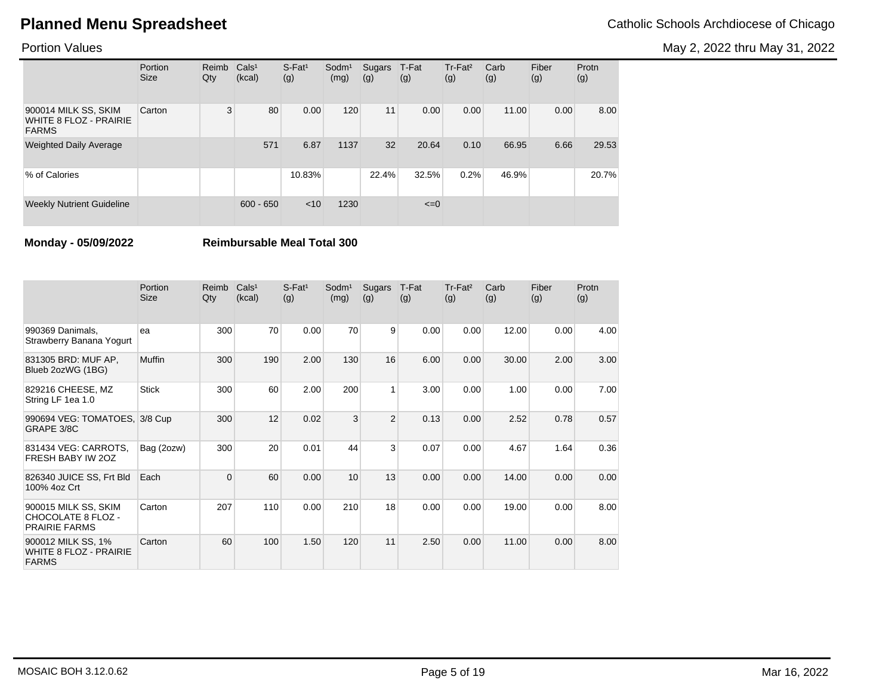May 2, 2022 thru May 31, 2022

### Portion Values

|                                                                | Portion<br><b>Size</b> | Reimb<br>Qty | Cals <sup>1</sup><br>(kcal) | $S$ -Fat <sup>1</sup><br>(g) | $S$ odm $1$<br>(mg) | Sugars<br>(g) | T-Fat<br>(g) | $Tr-Fat2$<br>(g) | Carb<br>(g) | Fiber<br>(g) | Protn<br>(g) |
|----------------------------------------------------------------|------------------------|--------------|-----------------------------|------------------------------|---------------------|---------------|--------------|------------------|-------------|--------------|--------------|
| 900014 MILK SS, SKIM<br>WHITE 8 FLOZ - PRAIRIE<br><b>FARMS</b> | Carton                 | 3            | 80                          | 0.00                         | 120                 | 11            | 0.00         | 0.00             | 11.00       | 0.00         | 8.00         |
| <b>Weighted Daily Average</b>                                  |                        |              | 571                         | 6.87                         | 1137                | 32            | 20.64        | 0.10             | 66.95       | 6.66         | 29.53        |
| % of Calories                                                  |                        |              |                             | 10.83%                       |                     | 22.4%         | 32.5%        | 0.2%             | 46.9%       |              | 20.7%        |
| <b>Weekly Nutrient Guideline</b>                               |                        |              | $600 - 650$                 | < 10                         | 1230                |               | $\leq=0$     |                  |             |              |              |

**Monday - 05/09/2022 Reimbursable Meal Total 300**

|                                                                     | Portion<br><b>Size</b> | Reimb<br>Qty | Cals <sup>1</sup><br>(kcal) | $S$ -Fat <sup>1</sup><br>(g) | Sodm <sup>1</sup><br>(mg) | Sugars<br>(g)  | T-Fat<br>(g) | Tr-Fat <sup>2</sup><br>(g) | Carb<br>(g) | Fiber<br>(g) | Protn<br>(g) |
|---------------------------------------------------------------------|------------------------|--------------|-----------------------------|------------------------------|---------------------------|----------------|--------------|----------------------------|-------------|--------------|--------------|
| 990369 Danimals,<br>Strawberry Banana Yogurt                        | ea                     | 300          | 70                          | 0.00                         | 70                        | 9              | 0.00         | 0.00                       | 12.00       | 0.00         | 4.00         |
| 831305 BRD: MUF AP,<br>Blueb 2ozWG (1BG)                            | <b>Muffin</b>          | 300          | 190                         | 2.00                         | 130                       | 16             | 6.00         | 0.00                       | 30.00       | 2.00         | 3.00         |
| 829216 CHEESE, MZ<br>String LF 1ea 1.0                              | <b>Stick</b>           | 300          | 60                          | 2.00                         | 200                       | $\mathbf{1}$   | 3.00         | 0.00                       | 1.00        | 0.00         | 7.00         |
| 990694 VEG: TOMATOES, 3/8 Cup<br>GRAPE 3/8C                         |                        | 300          | 12                          | 0.02                         | 3                         | $\overline{c}$ | 0.13         | 0.00                       | 2.52        | 0.78         | 0.57         |
| 831434 VEG: CARROTS,<br>FRESH BABY IW 2OZ                           | Bag (2ozw)             | 300          | 20                          | 0.01                         | 44                        | 3              | 0.07         | 0.00                       | 4.67        | 1.64         | 0.36         |
| 826340 JUICE SS, Frt Bld<br>100% 4oz Crt                            | Each                   | $\Omega$     | 60                          | 0.00                         | 10                        | 13             | 0.00         | 0.00                       | 14.00       | 0.00         | 0.00         |
| 900015 MILK SS, SKIM<br>CHOCOLATE 8 FLOZ -<br><b>PRAIRIE FARMS</b>  | Carton                 | 207          | 110                         | 0.00                         | 210                       | 18             | 0.00         | 0.00                       | 19.00       | 0.00         | 8.00         |
| 900012 MILK SS, 1%<br><b>WHITE 8 FLOZ - PRAIRIE</b><br><b>FARMS</b> | Carton                 | 60           | 100                         | 1.50                         | 120                       | 11             | 2.50         | 0.00                       | 11.00       | 0.00         | 8.00         |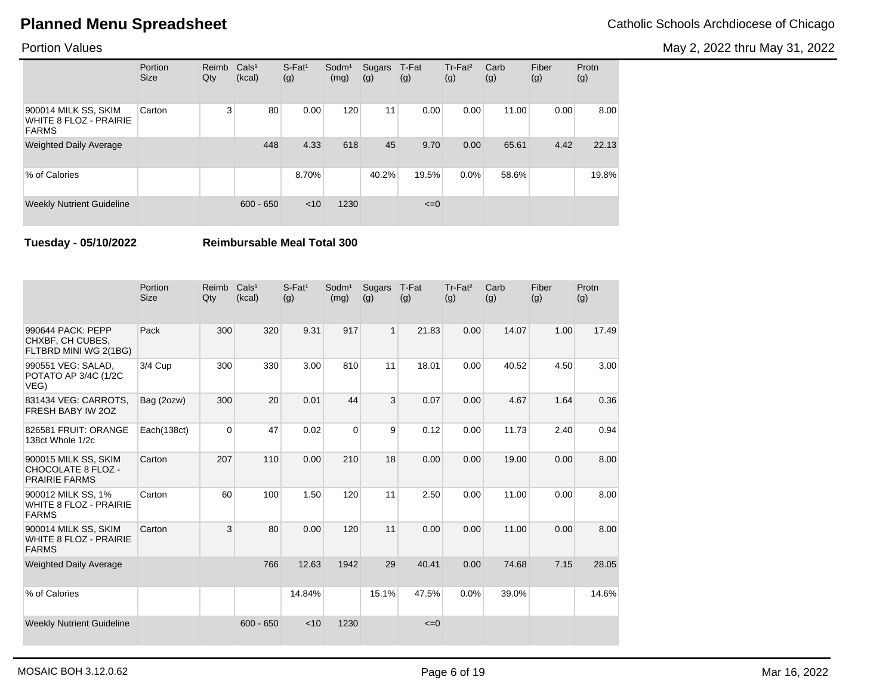May 2, 2022 thru May 31, 2022

### Portion Values

|                                                                       | Portion<br><b>Size</b> | Reimb<br>Qty | Cals <sup>1</sup><br>(kcal) | $S$ -Fat <sup>1</sup><br>(g) | Sodm <sup>1</sup><br>(mg) | Sugars<br>(g) | T-Fat<br>(g) | Tr-Fat <sup>2</sup><br>(g) | Carb<br>(g) | Fiber<br>(g) | Protn<br>(g) |
|-----------------------------------------------------------------------|------------------------|--------------|-----------------------------|------------------------------|---------------------------|---------------|--------------|----------------------------|-------------|--------------|--------------|
| 900014 MILK SS, SKIM<br><b>WHITE 8 FLOZ - PRAIRIE</b><br><b>FARMS</b> | Carton                 | 3            | 80                          | 0.00                         | 120                       | 11            | 0.00         | 0.00                       | 11.00       | 0.00         | 8.00         |
| <b>Weighted Daily Average</b>                                         |                        |              | 448                         | 4.33                         | 618                       | 45            | 9.70         | 0.00                       | 65.61       | 4.42         | 22.13        |
| % of Calories                                                         |                        |              |                             | 8.70%                        |                           | 40.2%         | 19.5%        | $0.0\%$                    | 58.6%       |              | 19.8%        |
| <b>Weekly Nutrient Guideline</b>                                      |                        |              | $600 - 650$                 | $<$ 10                       | 1230                      |               | $\leq=0$     |                            |             |              |              |

**Tuesday - 05/10/2022 Reimbursable Meal Total 300**

|                                                                           | Portion<br><b>Size</b> | Reimb<br>Qty | Cals <sup>1</sup><br>(kcal) | $S$ -Fat <sup>1</sup><br>(g) | Sodm <sup>1</sup><br>(mg) | Sugars<br>(g) | T-Fat<br>(g) | Tr-Fat <sup>2</sup><br>(g) | Carb<br>(g) | Fiber<br>(g) | Protn<br>(g) |
|---------------------------------------------------------------------------|------------------------|--------------|-----------------------------|------------------------------|---------------------------|---------------|--------------|----------------------------|-------------|--------------|--------------|
| 990644 PACK: PEPP<br>CHXBF, CH CUBES,<br>FLTBRD MINI WG 2(1BG)            | Pack                   | 300          | 320                         | 9.31                         | 917                       | $\mathbf{1}$  | 21.83        | 0.00                       | 14.07       | 1.00         | 17.49        |
| 990551 VEG: SALAD,<br>POTATO AP 3/4C (1/2C<br>VEG)                        | $3/4$ Cup              | 300          | 330                         | 3.00                         | 810                       | 11            | 18.01        | 0.00                       | 40.52       | 4.50         | 3.00         |
| 831434 VEG: CARROTS,<br>FRESH BABY IW 20Z                                 | Bag (2ozw)             | 300          | 20                          | 0.01                         | 44                        | 3             | 0.07         | 0.00                       | 4.67        | 1.64         | 0.36         |
| 826581 FRUIT: ORANGE<br>138ct Whole 1/2c                                  | Each(138ct)            | $\Omega$     | 47                          | 0.02                         | $\Omega$                  | 9             | 0.12         | 0.00                       | 11.73       | 2.40         | 0.94         |
| 900015 MILK SS, SKIM<br><b>CHOCOLATE 8 FLOZ -</b><br><b>PRAIRIE FARMS</b> | Carton                 | 207          | 110                         | 0.00                         | 210                       | 18            | 0.00         | 0.00                       | 19.00       | 0.00         | 8.00         |
| 900012 MILK SS, 1%<br><b>WHITE 8 FLOZ - PRAIRIE</b><br><b>FARMS</b>       | Carton                 | 60           | 100                         | 1.50                         | 120                       | 11            | 2.50         | 0.00                       | 11.00       | 0.00         | 8.00         |
| 900014 MILK SS, SKIM<br><b>WHITE 8 FLOZ - PRAIRIE</b><br><b>FARMS</b>     | Carton                 | 3            | 80                          | 0.00                         | 120                       | 11            | 0.00         | 0.00                       | 11.00       | 0.00         | 8.00         |
| <b>Weighted Daily Average</b>                                             |                        |              | 766                         | 12.63                        | 1942                      | 29            | 40.41        | 0.00                       | 74.68       | 7.15         | 28.05        |
| % of Calories                                                             |                        |              |                             | 14.84%                       |                           | 15.1%         | 47.5%        | 0.0%                       | 39.0%       |              | 14.6%        |
| <b>Weekly Nutrient Guideline</b>                                          |                        |              | $600 - 650$                 | < 10                         | 1230                      |               | $\leq=0$     |                            |             |              |              |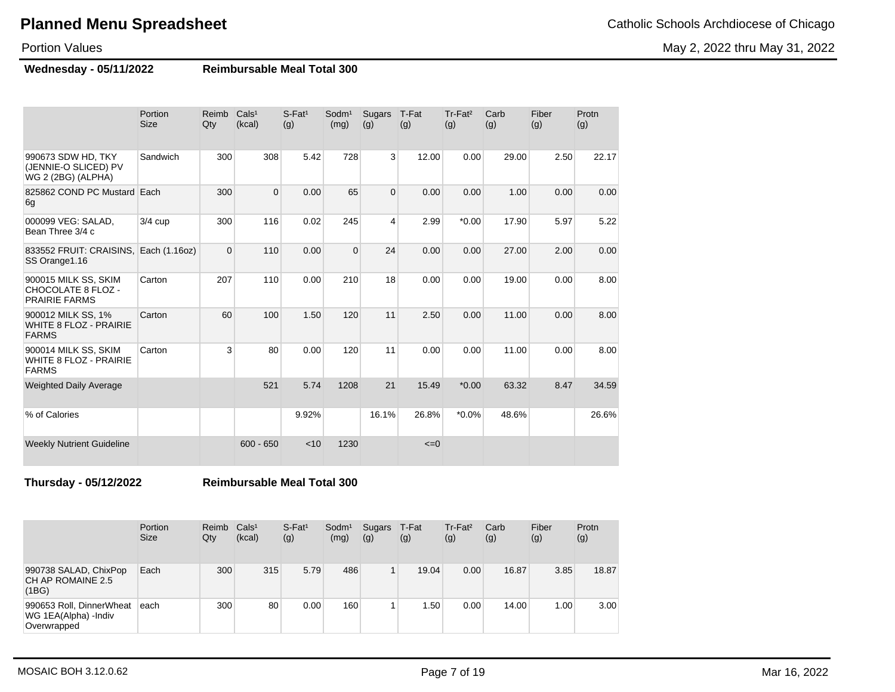May 2, 2022 thru May 31, 2022

Portion Values

**Wednesday - 05/11/2022 Reimbursable Meal Total 300**

|                                                                       | Portion<br><b>Size</b> | Reimb<br>Qty | Cals <sup>1</sup><br>(kcal) | $S$ -Fat <sup>1</sup><br>(g) | Sodm <sup>1</sup><br>(mg) | Sugars<br>(g)  | T-Fat<br>(g) | Tr-Fat <sup>2</sup><br>(g) | Carb<br>(g) | Fiber<br>(g) | Protn<br>(g) |
|-----------------------------------------------------------------------|------------------------|--------------|-----------------------------|------------------------------|---------------------------|----------------|--------------|----------------------------|-------------|--------------|--------------|
| 990673 SDW HD, TKY<br>(JENNIE-O SLICED) PV<br>WG 2 (2BG) (ALPHA)      | Sandwich               | 300          | 308                         | 5.42                         | 728                       | $\overline{3}$ | 12.00        | 0.00                       | 29.00       | 2.50         | 22.17        |
| 825862 COND PC Mustard Each<br>6g                                     |                        | 300          | $\mathbf 0$                 | 0.00                         | 65                        | $\mathbf{0}$   | 0.00         | 0.00                       | 1.00        | 0.00         | 0.00         |
| 000099 VEG: SALAD,<br>Bean Three 3/4 c                                | $3/4$ cup              | 300          | 116                         | 0.02                         | 245                       | 4              | 2.99         | $*0.00$                    | 17.90       | 5.97         | 5.22         |
| 833552 FRUIT: CRAISINS,<br>SS Orange1.16                              | Each (1.16oz)          | $\Omega$     | 110                         | 0.00                         | $\overline{0}$            | 24             | 0.00         | 0.00                       | 27.00       | 2.00         | 0.00         |
| 900015 MILK SS, SKIM<br>CHOCOLATE 8 FLOZ -<br><b>PRAIRIE FARMS</b>    | Carton                 | 207          | 110                         | 0.00                         | 210                       | 18             | 0.00         | 0.00                       | 19.00       | 0.00         | 8.00         |
| 900012 MILK SS, 1%<br><b>WHITE 8 FLOZ - PRAIRIE</b><br><b>FARMS</b>   | Carton                 | 60           | 100                         | 1.50                         | 120                       | 11             | 2.50         | 0.00                       | 11.00       | 0.00         | 8.00         |
| 900014 MILK SS, SKIM<br><b>WHITE 8 FLOZ - PRAIRIE</b><br><b>FARMS</b> | Carton                 | 3            | 80                          | 0.00                         | 120                       | 11             | 0.00         | 0.00                       | 11.00       | 0.00         | 8.00         |
| <b>Weighted Daily Average</b>                                         |                        |              | 521                         | 5.74                         | 1208                      | 21             | 15.49        | $*0.00$                    | 63.32       | 8.47         | 34.59        |
| % of Calories                                                         |                        |              |                             | 9.92%                        |                           | 16.1%          | 26.8%        | $*0.0\%$                   | 48.6%       |              | 26.6%        |
| <b>Weekly Nutrient Guideline</b>                                      |                        |              | $600 - 650$                 | < 10                         | 1230                      |                | $\leq=0$     |                            |             |              |              |

**Thursday - 05/12/2022 Reimbursable Meal Total 300**

|                                                                 | Portion<br><b>Size</b> | Reimb<br>Qty | Cals <sup>1</sup><br>(kcal) | $S$ -Fat <sup>1</sup><br>(g) | Sodm <sup>1</sup><br>(mg) | Sugars<br>(g) | T-Fat<br>(g) | $Tr-Fat2$<br>(g) | Carb<br>(g) | Fiber<br>(g) | Protn<br>(g) |
|-----------------------------------------------------------------|------------------------|--------------|-----------------------------|------------------------------|---------------------------|---------------|--------------|------------------|-------------|--------------|--------------|
| 990738 SALAD, ChixPop<br>CH AP ROMAINE 2.5<br>(1BG)             | Each                   | 300          | 315                         | 5.79                         | 486                       | 1             | 19.04        | 0.00             | 16.87       | 3.85         | 18.87        |
| 990653 Roll, DinnerWheat<br>WG 1EA(Alpha) -Indiv<br>Overwrapped | leach                  | 300          | 80                          | 0.00                         | 160                       | 1             | .50          | 0.00             | 14.00       | 1.00         | 3.00         |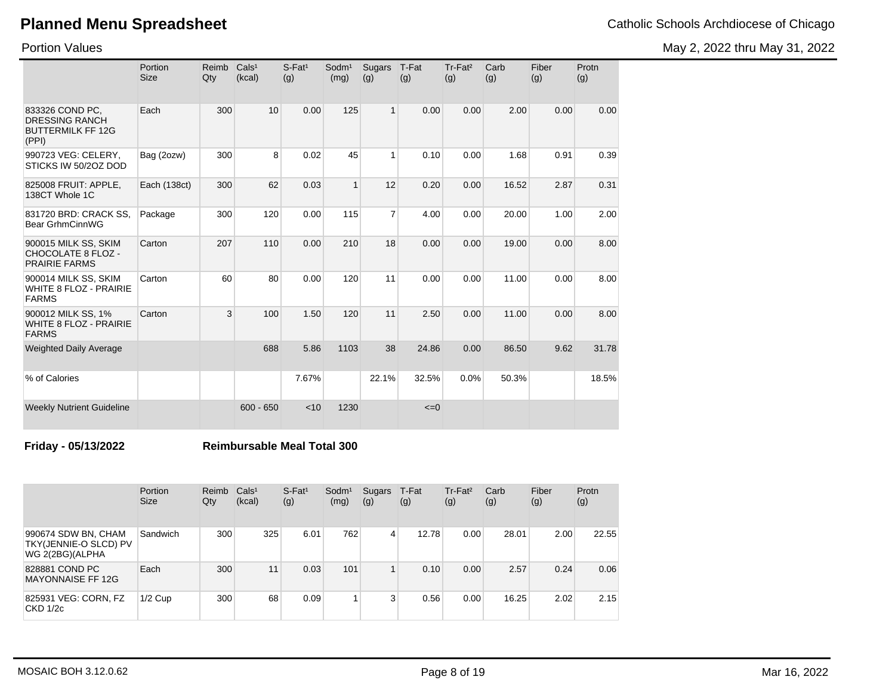Portion Values

|  | Catholic Schools Archdiocese of Chicag |  |
|--|----------------------------------------|--|

May 2, 2022 thru May 31, 2022

|                                                                               | Portion<br><b>Size</b> | Reimb<br>Qty | Cals <sup>1</sup><br>(kcal) | $S$ -Fat <sup>1</sup><br>(g) | Sodm <sup>1</sup><br>(mg) | Sugars<br>(g)  | T-Fat<br>(g) | Tr-Fat <sup>2</sup><br>(g) | Carb<br>(g) | Fiber<br>(g) | Protn<br>(g) |
|-------------------------------------------------------------------------------|------------------------|--------------|-----------------------------|------------------------------|---------------------------|----------------|--------------|----------------------------|-------------|--------------|--------------|
| 833326 COND PC,<br><b>DRESSING RANCH</b><br><b>BUTTERMILK FF 12G</b><br>(PPI) | Each                   | 300          | 10                          | 0.00                         | 125                       | 1              | 0.00         | 0.00                       | 2.00        | 0.00         | 0.00         |
| 990723 VEG: CELERY,<br>STICKS IW 50/2OZ DOD                                   | Bag (2ozw)             | 300          | 8                           | 0.02                         | 45                        |                | 0.10         | 0.00                       | 1.68        | 0.91         | 0.39         |
| 825008 FRUIT: APPLE,<br>138CT Whole 1C                                        | Each (138ct)           | 300          | 62                          | 0.03                         | $\mathbf{1}$              | 12             | 0.20         | 0.00                       | 16.52       | 2.87         | 0.31         |
| 831720 BRD: CRACK SS,<br>Bear GrhmCinnWG                                      | Package                | 300          | 120                         | 0.00                         | 115                       | $\overline{7}$ | 4.00         | 0.00                       | 20.00       | 1.00         | 2.00         |
| 900015 MILK SS, SKIM<br><b>CHOCOLATE 8 FLOZ -</b><br><b>PRAIRIE FARMS</b>     | Carton                 | 207          | 110                         | 0.00                         | 210                       | 18             | 0.00         | 0.00                       | 19.00       | 0.00         | 8.00         |
| 900014 MILK SS, SKIM<br><b>WHITE 8 FLOZ - PRAIRIE</b><br><b>FARMS</b>         | Carton                 | 60           | 80                          | 0.00                         | 120                       | 11             | 0.00         | 0.00                       | 11.00       | 0.00         | 8.00         |
| 900012 MILK SS, 1%<br><b>WHITE 8 FLOZ - PRAIRIE</b><br><b>FARMS</b>           | Carton                 | 3            | 100                         | 1.50                         | 120                       | 11             | 2.50         | 0.00                       | 11.00       | 0.00         | 8.00         |
| <b>Weighted Daily Average</b>                                                 |                        |              | 688                         | 5.86                         | 1103                      | 38             | 24.86        | 0.00                       | 86.50       | 9.62         | 31.78        |
| % of Calories                                                                 |                        |              |                             | 7.67%                        |                           | 22.1%          | 32.5%        | 0.0%                       | 50.3%       |              | 18.5%        |
| <b>Weekly Nutrient Guideline</b>                                              |                        |              | $600 - 650$                 | < 10                         | 1230                      |                | $\leq=0$     |                            |             |              |              |

### **Friday - 05/13/2022 Reimbursable Meal Total 300**

|                                                                 | Portion<br><b>Size</b> | Reimb<br>Qty | Cals <sup>1</sup><br>(kcal) | $S$ -Fat <sup>1</sup><br>(g) | Sodm <sup>1</sup><br>(mg) | Sugars T-Fat<br>(g) | (g)   | Tr-Fat <sup>2</sup><br>(g) | Carb<br>(g) | Fiber<br>(g) | Protn<br>(g) |
|-----------------------------------------------------------------|------------------------|--------------|-----------------------------|------------------------------|---------------------------|---------------------|-------|----------------------------|-------------|--------------|--------------|
| 990674 SDW BN, CHAM<br>TKY(JENNIE-O SLCD) PV<br>WG 2(2BG)(ALPHA | Sandwich               | 300          | 325                         | 6.01                         | 762                       | 4                   | 12.78 | 0.00                       | 28.01       | 2.00         | 22.55        |
| 828881 COND PC<br><b>MAYONNAISE FF 12G</b>                      | Each                   | 300          | 11                          | 0.03                         | 101                       | $\mathbf{1}$        | 0.10  | 0.00                       | 2.57        | 0.24         | 0.06         |
| 825931 VEG: CORN, FZ<br>CKD 1/2c                                | $1/2$ Cup              | 300          | 68                          | 0.09                         |                           | 3                   | 0.56  | 0.00                       | 16.25       | 2.02         | 2.15         |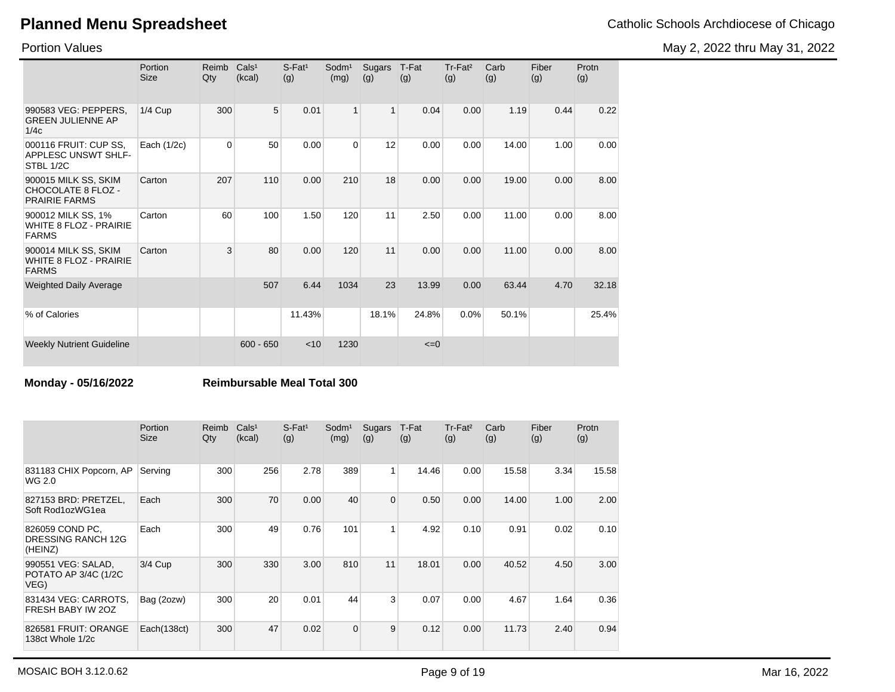May 2, 2022 thru May 31, 2022

Portion Values

|                                                                       | Portion<br><b>Size</b> | Reimb<br>Qty | Cals <sup>1</sup><br>(kcal) | $S$ -Fat <sup>1</sup><br>(g) | Sodm <sup>1</sup><br>(mg) | Sugars<br>(g) | T-Fat<br>(g) | Tr-Fat <sup>2</sup><br>(g) | Carb<br>(g) | Fiber<br>(g) | Protn<br>(g) |
|-----------------------------------------------------------------------|------------------------|--------------|-----------------------------|------------------------------|---------------------------|---------------|--------------|----------------------------|-------------|--------------|--------------|
| 990583 VEG: PEPPERS,<br><b>GREEN JULIENNE AP</b><br>1/4c              | $1/4$ Cup              | 300          | 5                           | 0.01                         | $\mathbf{1}$              | $\mathbf{1}$  | 0.04         | 0.00                       | 1.19        | 0.44         | 0.22         |
| 000116 FRUIT: CUP SS,<br>APPLESC UNSWT SHLF-<br>STBL 1/2C             | Each (1/2c)            | $\Omega$     | 50                          | 0.00                         | $\Omega$                  | 12            | 0.00         | 0.00                       | 14.00       | 1.00         | 0.00         |
| 900015 MILK SS, SKIM<br>CHOCOLATE 8 FLOZ -<br><b>PRAIRIE FARMS</b>    | Carton                 | 207          | 110                         | 0.00                         | 210                       | 18            | 0.00         | 0.00                       | 19.00       | 0.00         | 8.00         |
| 900012 MILK SS, 1%<br><b>WHITE 8 FLOZ - PRAIRIE</b><br><b>FARMS</b>   | Carton                 | 60           | 100                         | 1.50                         | 120                       | 11            | 2.50         | 0.00                       | 11.00       | 0.00         | 8.00         |
| 900014 MILK SS, SKIM<br><b>WHITE 8 FLOZ - PRAIRIE</b><br><b>FARMS</b> | Carton                 | 3            | 80                          | 0.00                         | 120                       | 11            | 0.00         | 0.00                       | 11.00       | 0.00         | 8.00         |
| <b>Weighted Daily Average</b>                                         |                        |              | 507                         | 6.44                         | 1034                      | 23            | 13.99        | 0.00                       | 63.44       | 4.70         | 32.18        |
| % of Calories                                                         |                        |              |                             | 11.43%                       |                           | 18.1%         | 24.8%        | 0.0%                       | 50.1%       |              | 25.4%        |
| <b>Weekly Nutrient Guideline</b>                                      |                        |              | $600 - 650$                 | $<$ 10                       | 1230                      |               | $\leq=0$     |                            |             |              |              |

**Monday - 05/16/2022 Reimbursable Meal Total 300**

|                                                         | Portion<br><b>Size</b> | Reimb<br>Qty | Cals <sup>1</sup><br>(kcal) | $S$ -Fat <sup>1</sup><br>(g) | Sodm <sup>1</sup><br>(mg) | Sugars<br>(g)  | T-Fat<br>(g) | Tr-Fat <sup>2</sup><br>(g) | Carb<br>(g) | Fiber<br>(g) | Protn<br>(g) |
|---------------------------------------------------------|------------------------|--------------|-----------------------------|------------------------------|---------------------------|----------------|--------------|----------------------------|-------------|--------------|--------------|
| 831183 CHIX Popcorn, AP<br>WG 2.0                       | Serving                | 300          | 256                         | 2.78                         | 389                       | $\mathbf{1}$   | 14.46        | 0.00                       | 15.58       | 3.34         | 15.58        |
| 827153 BRD: PRETZEL,<br>Soft Rod1ozWG1ea                | Each                   | 300          | 70                          | 0.00                         | 40                        | $\overline{0}$ | 0.50         | 0.00                       | 14.00       | 1.00         | 2.00         |
| 826059 COND PC,<br><b>DRESSING RANCH 12G</b><br>(HEINZ) | Each                   | 300          | 49                          | 0.76                         | 101                       | 1              | 4.92         | 0.10                       | 0.91        | 0.02         | 0.10         |
| 990551 VEG: SALAD,<br>POTATO AP 3/4C (1/2C<br>VEG)      | $3/4$ Cup              | 300          | 330                         | 3.00                         | 810                       | 11             | 18.01        | 0.00                       | 40.52       | 4.50         | 3.00         |
| 831434 VEG: CARROTS,<br>FRESH BABY IW 20Z               | Bag (2ozw)             | 300          | 20                          | 0.01                         | 44                        | 3              | 0.07         | 0.00                       | 4.67        | 1.64         | 0.36         |
| 826581 FRUIT: ORANGE<br>138ct Whole 1/2c                | Each(138ct)            | 300          | 47                          | 0.02                         | $\mathbf 0$               | 9              | 0.12         | 0.00                       | 11.73       | 2.40         | 0.94         |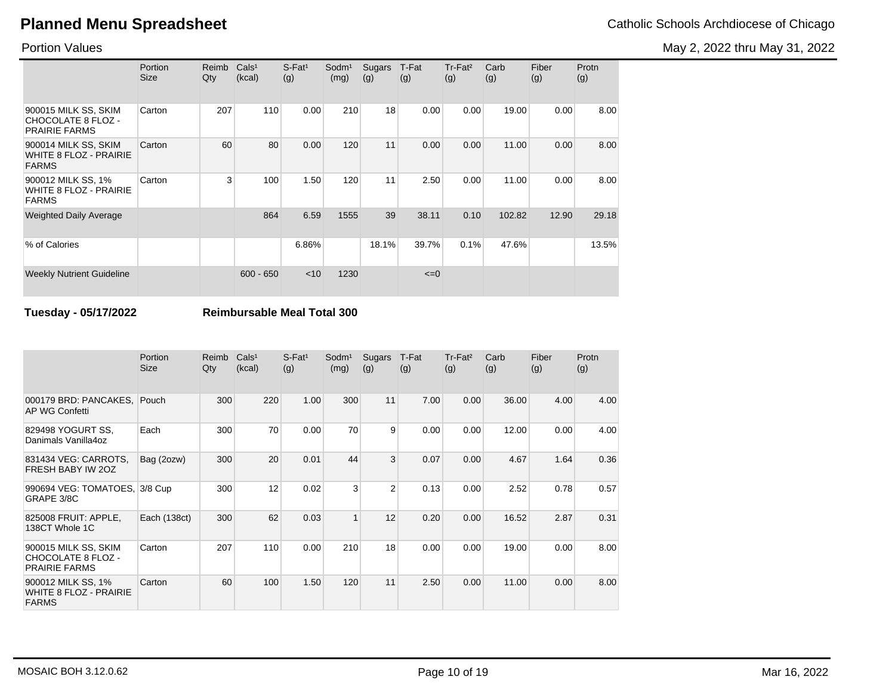Portion Values

|                                                                    | Portion<br><b>Size</b> | Reimb<br>Qty | Cals <sup>1</sup><br>(kcal) | $S$ -Fat <sup>1</sup><br>(g) | Sodm <sup>1</sup><br>(mg) | Sugars<br>(g) | T-Fat<br>(g) | $Tr-Fat2$<br>(g) | Carb<br>(g) | Fiber<br>(g) | Protn<br>(g) |
|--------------------------------------------------------------------|------------------------|--------------|-----------------------------|------------------------------|---------------------------|---------------|--------------|------------------|-------------|--------------|--------------|
| 900015 MILK SS, SKIM<br>CHOCOLATE 8 FLOZ -<br><b>PRAIRIE FARMS</b> | Carton                 | 207          | 110                         | 0.00                         | 210                       | 18            | 0.00         | 0.00             | 19.00       | 0.00         | 8.00         |
| 900014 MILK SS, SKIM<br>WHITE 8 FLOZ - PRAIRIE<br><b>FARMS</b>     | Carton                 | 60           | 80                          | 0.00                         | 120                       | 11            | 0.00         | 0.00             | 11.00       | 0.00         | 8.00         |
| 900012 MILK SS, 1%<br>WHITE 8 FLOZ - PRAIRIE<br><b>FARMS</b>       | Carton                 | 3            | 100                         | 1.50                         | 120                       | 11            | 2.50         | 0.00             | 11.00       | 0.00         | 8.00         |
| <b>Weighted Daily Average</b>                                      |                        |              | 864                         | 6.59                         | 1555                      | 39            | 38.11        | 0.10             | 102.82      | 12.90        | 29.18        |
| % of Calories                                                      |                        |              |                             | 6.86%                        |                           | 18.1%         | 39.7%        | 0.1%             | 47.6%       |              | 13.5%        |
| <b>Weekly Nutrient Guideline</b>                                   |                        |              | $600 - 650$                 | $<$ 10                       | 1230                      |               | $\leq=0$     |                  |             |              |              |

**Tuesday - 05/17/2022 Reimbursable Meal Total 300**

|                                                                     | Portion<br><b>Size</b> | Reimb<br>Qty | Cals <sup>1</sup><br>(kcal) | $S$ -Fat <sup>1</sup><br>(g) | Sodm <sup>1</sup><br>(mg) | Sugars<br>(g)  | T-Fat<br>(g) | Tr-Fat <sup>2</sup><br>(g) | Carb<br>(g) | Fiber<br>(g) | Protn<br>(g) |
|---------------------------------------------------------------------|------------------------|--------------|-----------------------------|------------------------------|---------------------------|----------------|--------------|----------------------------|-------------|--------------|--------------|
| 000179 BRD: PANCAKES,<br>AP WG Confetti                             | Pouch                  | 300          | 220                         | 1.00                         | 300                       | 11             | 7.00         | 0.00                       | 36.00       | 4.00         | 4.00         |
| 829498 YOGURT SS.<br>Danimals Vanilla4oz                            | Each                   | 300          | 70                          | 0.00                         | 70                        | 9              | 0.00         | 0.00                       | 12.00       | 0.00         | 4.00         |
| 831434 VEG: CARROTS,<br>FRESH BABY IW 20Z                           | Bag (2ozw)             | 300          | 20                          | 0.01                         | 44                        | 3              | 0.07         | 0.00                       | 4.67        | 1.64         | 0.36         |
| 990694 VEG: TOMATOES, 3/8 Cup<br>GRAPE 3/8C                         |                        | 300          | 12                          | 0.02                         | 3                         | $\overline{2}$ | 0.13         | 0.00                       | 2.52        | 0.78         | 0.57         |
| 825008 FRUIT: APPLE,<br>138CT Whole 1C                              | Each (138ct)           | 300          | 62                          | 0.03                         | $\mathbf{1}$              | 12             | 0.20         | 0.00                       | 16.52       | 2.87         | 0.31         |
| 900015 MILK SS, SKIM<br>CHOCOLATE 8 FLOZ -<br><b>PRAIRIE FARMS</b>  | Carton                 | 207          | 110                         | 0.00                         | 210                       | 18             | 0.00         | 0.00                       | 19.00       | 0.00         | 8.00         |
| 900012 MILK SS, 1%<br><b>WHITE 8 FLOZ - PRAIRIE</b><br><b>FARMS</b> | Carton                 | 60           | 100                         | 1.50                         | 120                       | 11             | 2.50         | 0.00                       | 11.00       | 0.00         | 8.00         |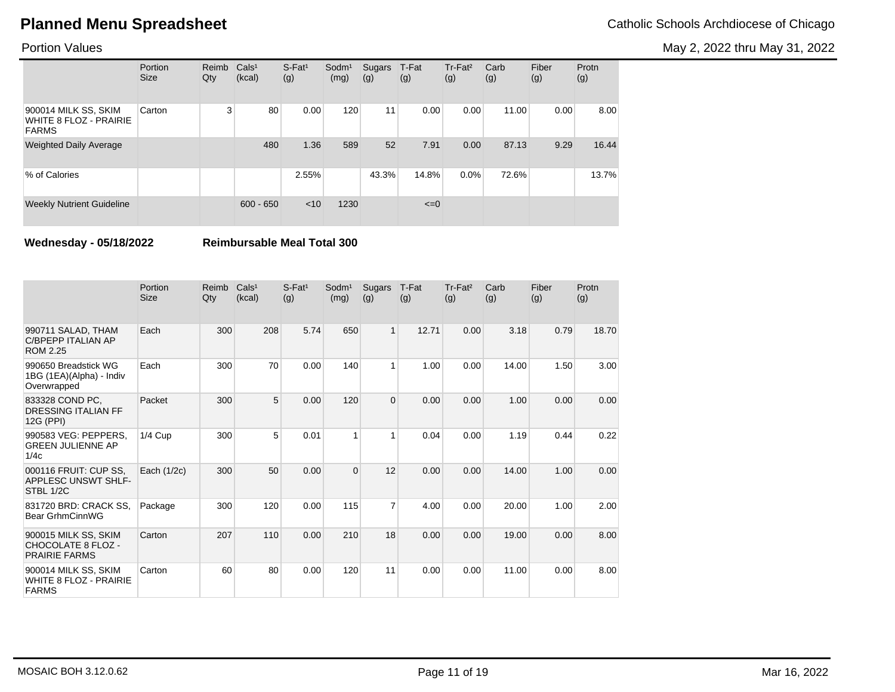May 2, 2022 thru May 31, 2022

### Portion Values

|                                                                       | Portion<br><b>Size</b> | Reimb<br>Qty | Cals <sup>1</sup><br>(kcal) | $S$ -Fat <sup>1</sup><br>(g) | Sodm <sup>1</sup><br>(mg) | Sugars<br>(g) | T-Fat<br>(g) | $Tr-Fat2$<br>(g) | Carb<br>(g) | Fiber<br>(g) | Protn<br>(g) |
|-----------------------------------------------------------------------|------------------------|--------------|-----------------------------|------------------------------|---------------------------|---------------|--------------|------------------|-------------|--------------|--------------|
| 900014 MILK SS, SKIM<br><b>WHITE 8 FLOZ - PRAIRIE</b><br><b>FARMS</b> | Carton                 | 3            | 80                          | 0.00                         | 120                       | 11            | 0.00         | 0.00             | 11.00       | 0.00         | 8.00         |
| <b>Weighted Daily Average</b>                                         |                        |              | 480                         | 1.36                         | 589                       | 52            | 7.91         | 0.00             | 87.13       | 9.29         | 16.44        |
| % of Calories                                                         |                        |              |                             | 2.55%                        |                           | 43.3%         | 14.8%        | $0.0\%$          | 72.6%       |              | 13.7%        |
| <b>Weekly Nutrient Guideline</b>                                      |                        |              | $600 - 650$                 | < 10                         | 1230                      |               | $\leq=0$     |                  |             |              |              |

**Wednesday - 05/18/2022 Reimbursable Meal Total 300**

|                                                                       | Portion<br><b>Size</b> | Reimb<br>Qty | Cals <sup>1</sup><br>(kcal) | $S$ -Fat <sup>1</sup><br>(g) | Sodm <sup>1</sup><br>(mg) | Sugars<br>(g)  | T-Fat<br>(g) | Tr-Fat <sup>2</sup><br>(g) | Carb<br>(g) | Fiber<br>(g) | Protn<br>(g) |
|-----------------------------------------------------------------------|------------------------|--------------|-----------------------------|------------------------------|---------------------------|----------------|--------------|----------------------------|-------------|--------------|--------------|
| 990711 SALAD, THAM<br><b>C/BPEPP ITALIAN AP</b><br><b>ROM 2.25</b>    | Each                   | 300          | 208                         | 5.74                         | 650                       | 1              | 12.71        | 0.00                       | 3.18        | 0.79         | 18.70        |
| 990650 Breadstick WG<br>1BG (1EA)(Alpha) - Indiv<br>Overwrapped       | Each                   | 300          | 70                          | 0.00                         | 140                       | 1              | 1.00         | 0.00                       | 14.00       | 1.50         | 3.00         |
| 833328 COND PC.<br><b>DRESSING ITALIAN FF</b><br>12G (PPI)            | Packet                 | 300          | 5                           | 0.00                         | 120                       | $\overline{0}$ | 0.00         | 0.00                       | 1.00        | 0.00         | 0.00         |
| 990583 VEG: PEPPERS.<br><b>GREEN JULIENNE AP</b><br>1/4c              | $1/4$ Cup              | 300          | 5                           | 0.01                         | 1                         | 1              | 0.04         | 0.00                       | 1.19        | 0.44         | 0.22         |
| 000116 FRUIT: CUP SS.<br><b>APPLESC UNSWT SHLF-</b><br>STBL 1/2C      | Each $(1/2c)$          | 300          | 50                          | 0.00                         | $\Omega$                  | 12             | 0.00         | 0.00                       | 14.00       | 1.00         | 0.00         |
| 831720 BRD: CRACK SS,<br>Bear GrhmCinnWG                              | Package                | 300          | 120                         | 0.00                         | 115                       | 7              | 4.00         | 0.00                       | 20.00       | 1.00         | 2.00         |
| 900015 MILK SS, SKIM<br>CHOCOLATE 8 FLOZ -<br><b>PRAIRIE FARMS</b>    | Carton                 | 207          | 110                         | 0.00                         | 210                       | 18             | 0.00         | 0.00                       | 19.00       | 0.00         | 8.00         |
| 900014 MILK SS, SKIM<br><b>WHITE 8 FLOZ - PRAIRIE</b><br><b>FARMS</b> | Carton                 | 60           | 80                          | 0.00                         | 120                       | 11             | 0.00         | 0.00                       | 11.00       | 0.00         | 8.00         |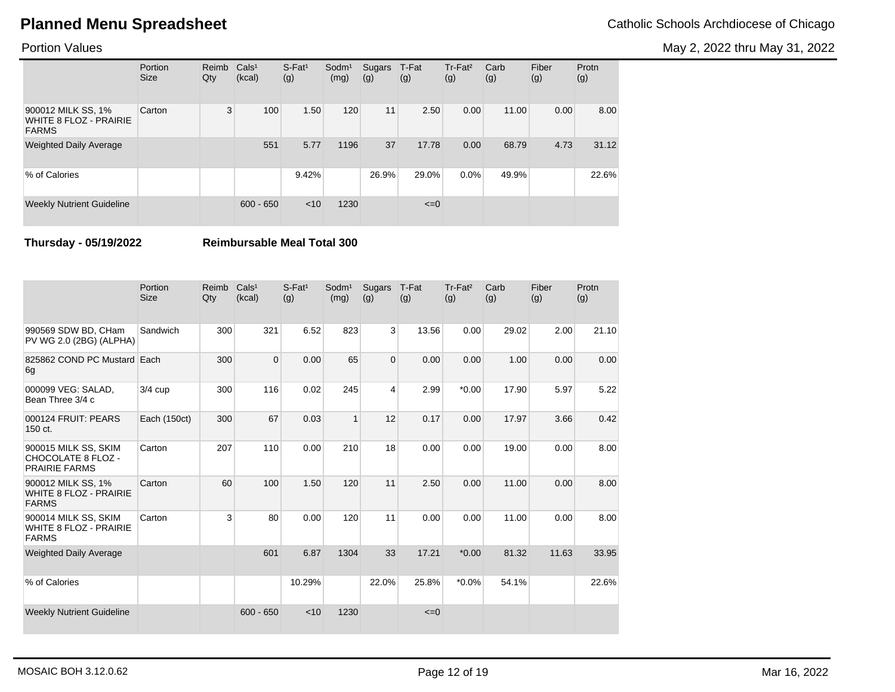May 2, 2022 thru May 31, 2022

### Portion Values

|                                                                     | Portion<br><b>Size</b> | Reimb<br>Qty | Cals <sup>1</sup><br>(kcal) | $S$ -Fat <sup>1</sup><br>(g) | $S$ odm $1$<br>(mg) | Sugars<br>(g) | T-Fat<br>(g) | Tr-Fat <sup>2</sup><br>(g) | Carb<br>(g) | Fiber<br>(g) | Protn<br>(g) |
|---------------------------------------------------------------------|------------------------|--------------|-----------------------------|------------------------------|---------------------|---------------|--------------|----------------------------|-------------|--------------|--------------|
| 900012 MILK SS, 1%<br><b>WHITE 8 FLOZ - PRAIRIE</b><br><b>FARMS</b> | Carton                 | 3            | 100                         | 1.50                         | 120                 | 11            | 2.50         | 0.00                       | 11.00       | 0.00         | 8.00         |
| <b>Weighted Daily Average</b>                                       |                        |              | 551                         | 5.77                         | 1196                | 37            | 17.78        | 0.00                       | 68.79       | 4.73         | 31.12        |
| % of Calories                                                       |                        |              |                             | 9.42%                        |                     | 26.9%         | 29.0%        | $0.0\%$                    | 49.9%       |              | 22.6%        |
| <b>Weekly Nutrient Guideline</b>                                    |                        |              | $600 - 650$                 | < 10                         | 1230                |               | $\leq=0$     |                            |             |              |              |

**Thursday - 05/19/2022 Reimbursable Meal Total 300**

|                                                                       | Portion<br><b>Size</b> | Reimb<br>Qty | Cals <sup>1</sup><br>(kcal) | $S$ -Fat <sup>1</sup><br>(g) | Sodm <sup>1</sup><br>(mg) | Sugars<br>(g)  | T-Fat<br>(g) | Tr-Fat <sup>2</sup><br>(g) | Carb<br>(g) | Fiber<br>(g) | Protn<br>(g) |
|-----------------------------------------------------------------------|------------------------|--------------|-----------------------------|------------------------------|---------------------------|----------------|--------------|----------------------------|-------------|--------------|--------------|
| 990569 SDW BD, CHam<br>PV WG 2.0 (2BG) (ALPHA)                        | Sandwich               | 300          | 321                         | 6.52                         | 823                       | 3              | 13.56        | 0.00                       | 29.02       | 2.00         | 21.10        |
| 825862 COND PC Mustard Each<br>6g                                     |                        | 300          | $\Omega$                    | 0.00                         | 65                        | $\overline{0}$ | 0.00         | 0.00                       | 1.00        | 0.00         | 0.00         |
| 000099 VEG: SALAD,<br>Bean Three 3/4 c                                | $3/4$ cup              | 300          | 116                         | 0.02                         | 245                       | 4              | 2.99         | $*0.00$                    | 17.90       | 5.97         | 5.22         |
| 000124 FRUIT: PEARS<br>150 ct.                                        | Each (150ct)           | 300          | 67                          | 0.03                         | $\mathbf{1}$              | 12             | 0.17         | 0.00                       | 17.97       | 3.66         | 0.42         |
| 900015 MILK SS, SKIM<br>CHOCOLATE 8 FLOZ -<br><b>PRAIRIE FARMS</b>    | Carton                 | 207          | 110                         | 0.00                         | 210                       | 18             | 0.00         | 0.00                       | 19.00       | 0.00         | 8.00         |
| 900012 MILK SS, 1%<br><b>WHITE 8 FLOZ - PRAIRIE</b><br><b>FARMS</b>   | Carton                 | 60           | 100                         | 1.50                         | 120                       | 11             | 2.50         | 0.00                       | 11.00       | 0.00         | 8.00         |
| 900014 MILK SS, SKIM<br><b>WHITE 8 FLOZ - PRAIRIE</b><br><b>FARMS</b> | Carton                 | 3            | 80                          | 0.00                         | 120                       | 11             | 0.00         | 0.00                       | 11.00       | 0.00         | 8.00         |
| <b>Weighted Daily Average</b>                                         |                        |              | 601                         | 6.87                         | 1304                      | 33             | 17.21        | $*0.00$                    | 81.32       | 11.63        | 33.95        |
| % of Calories                                                         |                        |              |                             | 10.29%                       |                           | 22.0%          | 25.8%        | $*0.0\%$                   | 54.1%       |              | 22.6%        |
| <b>Weekly Nutrient Guideline</b>                                      |                        |              | $600 - 650$                 | < 10                         | 1230                      |                | $\leq=0$     |                            |             |              |              |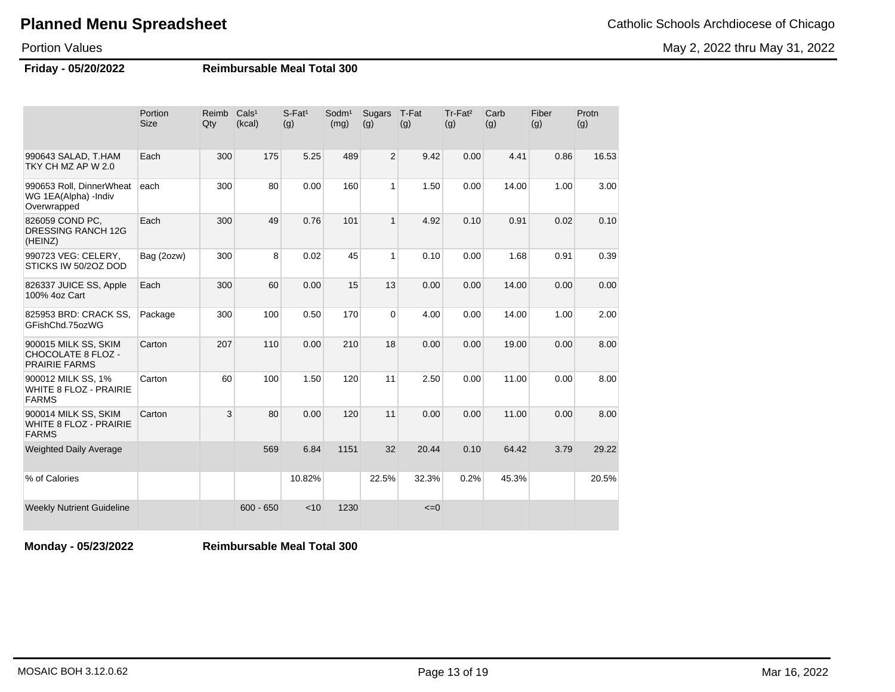May 2, 2022 thru May 31, 2022

Portion Values

**Friday - 05/20/2022 Reimbursable Meal Total 300**

|                                                                           | Portion<br><b>Size</b> | Reimb<br>Qty | Cals <sup>1</sup><br>(kcal) | S-Fat <sup>1</sup><br>(g) | Sodm <sup>1</sup><br>(mg) | Sugars<br>(g)  | T-Fat<br>(g) | Tr-Fat <sup>2</sup><br>(g) | Carb<br>(g) | Fiber<br>(g) | Protn<br>(g) |
|---------------------------------------------------------------------------|------------------------|--------------|-----------------------------|---------------------------|---------------------------|----------------|--------------|----------------------------|-------------|--------------|--------------|
| 990643 SALAD, T.HAM<br>TKY CH MZ AP W 2.0                                 | Each                   | 300          | 175                         | 5.25                      | 489                       | $\overline{2}$ | 9.42         | 0.00                       | 4.41        | 0.86         | 16.53        |
| 990653 Roll, DinnerWheat<br>WG 1EA(Alpha) -Indiv<br>Overwrapped           | each                   | 300          | 80                          | 0.00                      | 160                       | $\mathbf{1}$   | 1.50         | 0.00                       | 14.00       | 1.00         | 3.00         |
| 826059 COND PC,<br>DRESSING RANCH 12G<br>(HEINZ)                          | Each                   | 300          | 49                          | 0.76                      | 101                       | $\mathbf{1}$   | 4.92         | 0.10                       | 0.91        | 0.02         | 0.10         |
| 990723 VEG: CELERY,<br>STICKS IW 50/2OZ DOD                               | Bag (2ozw)             | 300          | 8                           | 0.02                      | 45                        | $\mathbf{1}$   | 0.10         | 0.00                       | 1.68        | 0.91         | 0.39         |
| 826337 JUICE SS, Apple<br>100% 4oz Cart                                   | Each                   | 300          | 60                          | 0.00                      | 15                        | 13             | 0.00         | 0.00                       | 14.00       | 0.00         | 0.00         |
| 825953 BRD: CRACK SS,<br>GFishChd.75ozWG                                  | Package                | 300          | 100                         | 0.50                      | 170                       | $\overline{0}$ | 4.00         | 0.00                       | 14.00       | 1.00         | 2.00         |
| 900015 MILK SS, SKIM<br><b>CHOCOLATE 8 FLOZ -</b><br><b>PRAIRIE FARMS</b> | Carton                 | 207          | 110                         | 0.00                      | 210                       | 18             | 0.00         | 0.00                       | 19.00       | 0.00         | 8.00         |
| 900012 MILK SS, 1%<br><b>WHITE 8 FLOZ - PRAIRIE</b><br><b>FARMS</b>       | Carton                 | 60           | 100                         | 1.50                      | 120                       | 11             | 2.50         | 0.00                       | 11.00       | 0.00         | 8.00         |
| 900014 MILK SS, SKIM<br><b>WHITE 8 FLOZ - PRAIRIE</b><br><b>FARMS</b>     | Carton                 | 3            | 80                          | 0.00                      | 120                       | 11             | 0.00         | 0.00                       | 11.00       | 0.00         | 8.00         |
| <b>Weighted Daily Average</b>                                             |                        |              | 569                         | 6.84                      | 1151                      | 32             | 20.44        | 0.10                       | 64.42       | 3.79         | 29.22        |
| % of Calories                                                             |                        |              |                             | 10.82%                    |                           | 22.5%          | 32.3%        | 0.2%                       | 45.3%       |              | 20.5%        |
| <b>Weekly Nutrient Guideline</b>                                          |                        |              | $600 - 650$                 | < 10                      | 1230                      |                | $\leq=0$     |                            |             |              |              |

**Monday - 05/23/2022 Reimbursable Meal Total 300**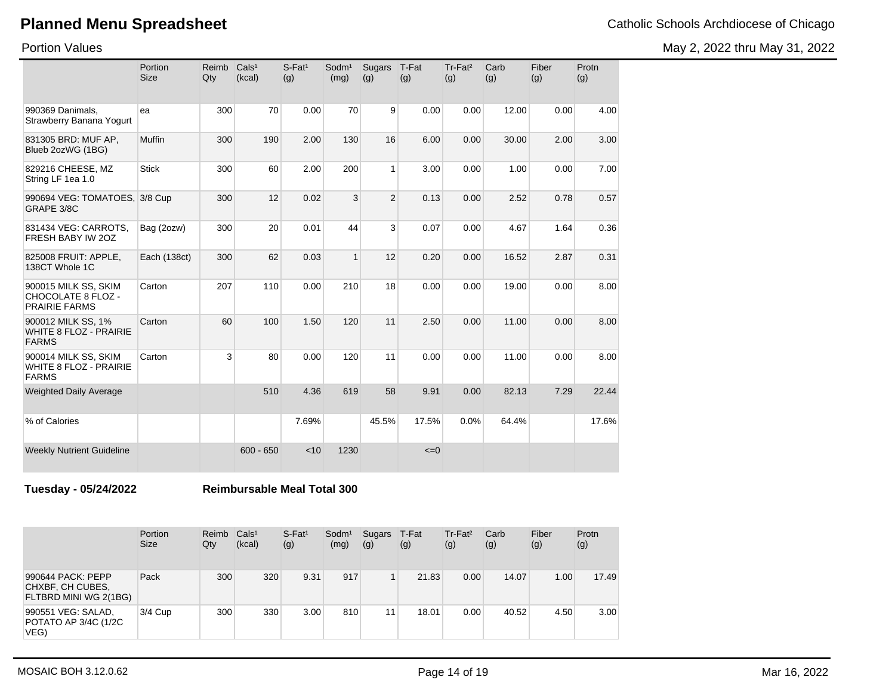May 2, 2022 thru May 31, 2022

Portion Values

|                                                                     | Portion<br><b>Size</b> | Reimb<br>Qty | Cals <sup>1</sup><br>(kcal) | S-Fat <sup>1</sup><br>(g) | Sodm <sup>1</sup><br>(mg) | Sugars<br>(g)  | T-Fat<br>(g) | Tr-Fat <sup>2</sup><br>(g) | Carb<br>(g) | Fiber<br>(g) | Protn<br>(g) |
|---------------------------------------------------------------------|------------------------|--------------|-----------------------------|---------------------------|---------------------------|----------------|--------------|----------------------------|-------------|--------------|--------------|
| 990369 Danimals.<br>Strawberry Banana Yogurt                        | ea                     | 300          | 70                          | 0.00                      | 70                        | 9              | 0.00         | 0.00                       | 12.00       | 0.00         | 4.00         |
| 831305 BRD: MUF AP,<br>Blueb 2ozWG (1BG)                            | Muffin                 | 300          | 190                         | 2.00                      | 130                       | 16             | 6.00         | 0.00                       | 30.00       | 2.00         | 3.00         |
| 829216 CHEESE, MZ<br>String LF 1ea 1.0                              | <b>Stick</b>           | 300          | 60                          | 2.00                      | 200                       | 1              | 3.00         | 0.00                       | 1.00        | 0.00         | 7.00         |
| 990694 VEG: TOMATOES, 3/8 Cup<br>GRAPE 3/8C                         |                        | 300          | 12                          | 0.02                      | 3                         | $\overline{2}$ | 0.13         | 0.00                       | 2.52        | 0.78         | 0.57         |
| 831434 VEG: CARROTS,<br>FRESH BABY IW 20Z                           | Bag (2ozw)             | 300          | 20                          | 0.01                      | 44                        | 3              | 0.07         | 0.00                       | 4.67        | 1.64         | 0.36         |
| 825008 FRUIT: APPLE.<br>138CT Whole 1C                              | Each (138ct)           | 300          | 62                          | 0.03                      | $\mathbf{1}$              | 12             | 0.20         | 0.00                       | 16.52       | 2.87         | 0.31         |
| 900015 MILK SS, SKIM<br>CHOCOLATE 8 FLOZ -<br><b>PRAIRIE FARMS</b>  | Carton                 | 207          | 110                         | 0.00                      | 210                       | 18             | 0.00         | 0.00                       | 19.00       | 0.00         | 8.00         |
| 900012 MILK SS, 1%<br><b>WHITE 8 FLOZ - PRAIRIE</b><br><b>FARMS</b> | Carton                 | 60           | 100                         | 1.50                      | 120                       | 11             | 2.50         | 0.00                       | 11.00       | 0.00         | 8.00         |
| 900014 MILK SS, SKIM<br>WHITE 8 FLOZ - PRAIRIE<br><b>FARMS</b>      | Carton                 | 3            | 80                          | 0.00                      | 120                       | 11             | 0.00         | 0.00                       | 11.00       | 0.00         | 8.00         |
| <b>Weighted Daily Average</b>                                       |                        |              | 510                         | 4.36                      | 619                       | 58             | 9.91         | 0.00                       | 82.13       | 7.29         | 22.44        |
| % of Calories                                                       |                        |              |                             | 7.69%                     |                           | 45.5%          | 17.5%        | 0.0%                       | 64.4%       |              | 17.6%        |
| <b>Weekly Nutrient Guideline</b>                                    |                        |              | $600 - 650$                 | < 10                      | 1230                      |                | $\leq=0$     |                            |             |              |              |

**Tuesday - 05/24/2022 Reimbursable Meal Total 300**

|                                                                | Portion<br><b>Size</b> | Reimb<br>Qty | Cals <sup>1</sup><br>(kcal) | $S$ -Fat <sup>1</sup><br>(g) | Sodm <sup>1</sup><br>(mg) | Sugars T-Fat<br>(g) | (g)   | $Tr-Fat2$<br>(g) | Carb<br>(g) | Fiber<br>(g) | Protn<br>(g) |
|----------------------------------------------------------------|------------------------|--------------|-----------------------------|------------------------------|---------------------------|---------------------|-------|------------------|-------------|--------------|--------------|
| 990644 PACK: PEPP<br>CHXBF, CH CUBES,<br>FLTBRD MINI WG 2(1BG) | Pack                   | 300          | 320                         | 9.31                         | 917                       | 1                   | 21.83 | 0.00             | 14.07       | 1.00         | 17.49        |
| 990551 VEG: SALAD,<br>POTATO AP 3/4C (1/2C<br>VEG)             | 3/4 Cup                | 300          | 330                         | 3.00                         | 810                       | 11                  | 18.01 | 0.00             | 40.52       | 4.50         | 3.00         |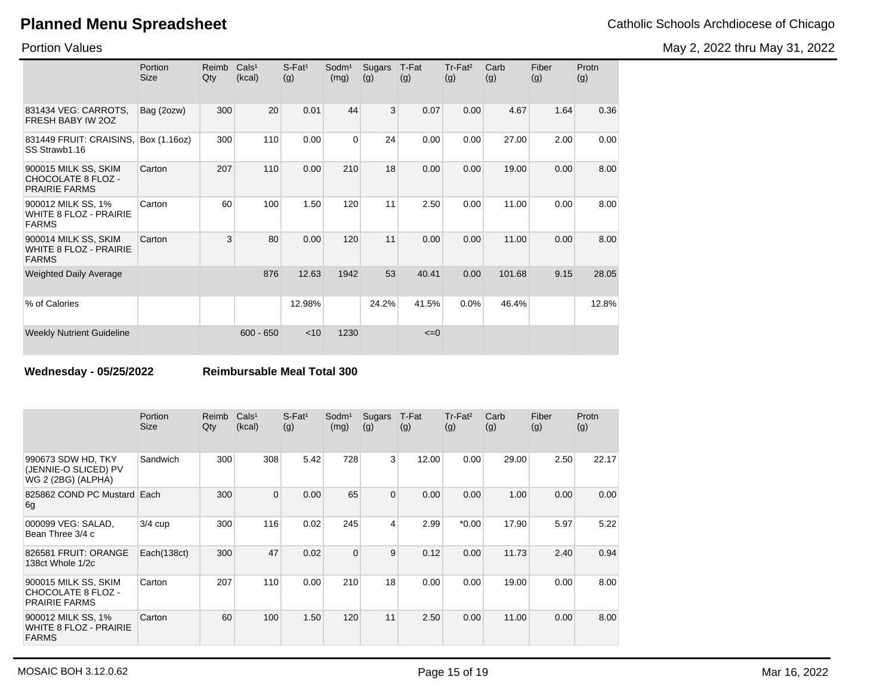May 2, 2022 thru May 31, 2022

Portion Values

|                                                                       | Portion<br>Size | Reimb<br>Qty | Cals <sup>1</sup><br>(kcal) | $S$ -Fat <sup>1</sup><br>(g) | Sodm <sup>1</sup><br>(mg) | Sugars<br>(g)  | T-Fat<br>(g) | $Tr-Fat2$<br>(g) | Carb<br>(g) | Fiber<br>(g) | Protn<br>(g) |
|-----------------------------------------------------------------------|-----------------|--------------|-----------------------------|------------------------------|---------------------------|----------------|--------------|------------------|-------------|--------------|--------------|
| 831434 VEG: CARROTS,<br>FRESH BABY IW 20Z                             | Bag (2ozw)      | 300          | 20                          | 0.01                         | 44                        | $\overline{3}$ | 0.07         | 0.00             | 4.67        | 1.64         | 0.36         |
| 831449 FRUIT: CRAISINS,<br>SS Strawb1.16                              | Box (1.16oz)    | 300          | 110                         | 0.00                         | $\Omega$                  | 24             | 0.00         | 0.00             | 27.00       | 2.00         | 0.00         |
| 900015 MILK SS, SKIM<br>CHOCOLATE 8 FLOZ -<br><b>PRAIRIE FARMS</b>    | Carton          | 207          | 110                         | 0.00                         | 210                       | 18             | 0.00         | 0.00             | 19.00       | 0.00         | 8.00         |
| 900012 MILK SS, 1%<br>WHITE 8 FLOZ - PRAIRIE<br><b>FARMS</b>          | Carton          | 60           | 100                         | 1.50                         | 120                       | 11             | 2.50         | 0.00             | 11.00       | 0.00         | 8.00         |
| 900014 MILK SS, SKIM<br><b>WHITE 8 FLOZ - PRAIRIE</b><br><b>FARMS</b> | Carton          | 3            | 80                          | 0.00                         | 120                       | 11             | 0.00         | 0.00             | 11.00       | 0.00         | 8.00         |
| <b>Weighted Daily Average</b>                                         |                 |              | 876                         | 12.63                        | 1942                      | 53             | 40.41        | 0.00             | 101.68      | 9.15         | 28.05        |
| % of Calories                                                         |                 |              |                             | 12.98%                       |                           | 24.2%          | 41.5%        | 0.0%             | 46.4%       |              | 12.8%        |
| <b>Weekly Nutrient Guideline</b>                                      |                 |              | $600 - 650$                 | $<$ 10                       | 1230                      |                | $\leq=0$     |                  |             |              |              |

**Wednesday - 05/25/2022 Reimbursable Meal Total 300**

|                                                                     | Portion<br><b>Size</b> | Reimb<br>Qty | Cals <sup>1</sup><br>(kcal) | $S$ -Fat <sup>1</sup><br>(g) | Sodm <sup>1</sup><br>(mg) | Sugars<br>(g)  | T-Fat<br>(g) | Tr-Fat <sup>2</sup><br>(g) | Carb<br>(g) | Fiber<br>(g) | Protn<br>(g) |
|---------------------------------------------------------------------|------------------------|--------------|-----------------------------|------------------------------|---------------------------|----------------|--------------|----------------------------|-------------|--------------|--------------|
| 990673 SDW HD, TKY<br>(JENNIE-O SLICED) PV<br>WG 2 (2BG) (ALPHA)    | Sandwich               | 300          | 308                         | 5.42                         | 728                       | 3              | 12.00        | 0.00                       | 29.00       | 2.50         | 22.17        |
| 825862 COND PC Mustard Each<br>6g                                   |                        | 300          | $\Omega$                    | 0.00                         | 65                        | $\overline{0}$ | 0.00         | 0.00                       | 1.00        | 0.00         | 0.00         |
| 000099 VEG: SALAD,<br>Bean Three 3/4 c                              | $3/4$ cup              | 300          | 116                         | 0.02                         | 245                       | 4              | 2.99         | $*0.00$                    | 17.90       | 5.97         | 5.22         |
| 826581 FRUIT: ORANGE<br>138ct Whole 1/2c                            | Each(138ct)            | 300          | 47                          | 0.02                         | $\Omega$                  | 9              | 0.12         | 0.00                       | 11.73       | 2.40         | 0.94         |
| 900015 MILK SS, SKIM<br>CHOCOLATE 8 FLOZ -<br><b>PRAIRIE FARMS</b>  | Carton                 | 207          | 110                         | 0.00                         | 210                       | 18             | 0.00         | 0.00                       | 19.00       | 0.00         | 8.00         |
| 900012 MILK SS, 1%<br><b>WHITE 8 FLOZ - PRAIRIE</b><br><b>FARMS</b> | Carton                 | 60           | 100                         | 1.50                         | 120                       | 11             | 2.50         | 0.00                       | 11.00       | 0.00         | 8.00         |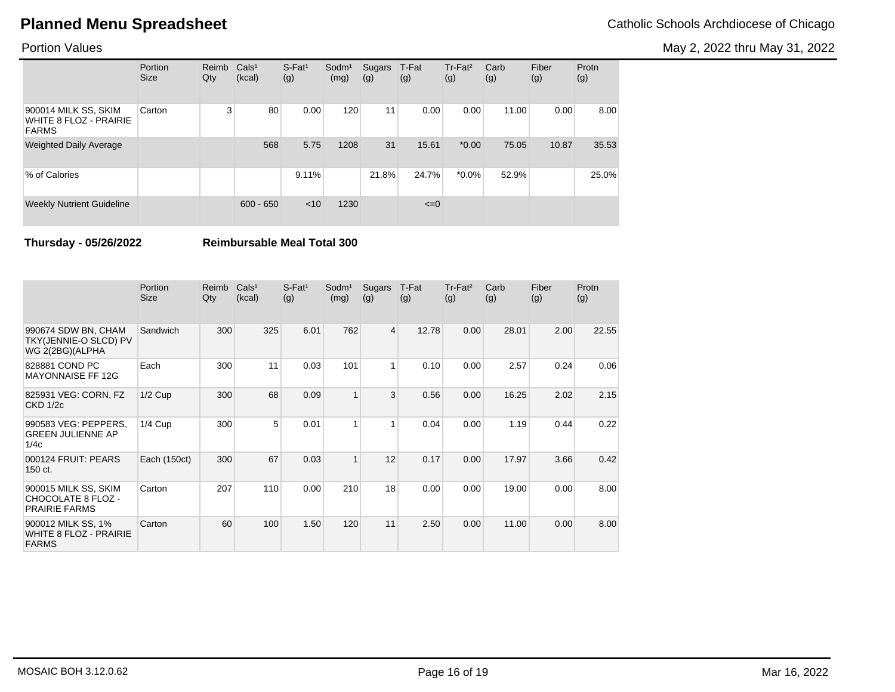May 2, 2022 thru May 31, 2022

### Portion Values

|                                                                | Portion<br><b>Size</b> | Reimb<br>Qty | Cals <sup>1</sup><br>(kcal) | $S$ -Fat <sup>1</sup><br>(g) | $S$ odm $1$<br>(mg) | Sugars<br>(g) | T-Fat<br>(g) | Tr-Fat <sup>2</sup><br>(g) | Carb<br>(g) | Fiber<br>(g) | Protn<br>(g) |
|----------------------------------------------------------------|------------------------|--------------|-----------------------------|------------------------------|---------------------|---------------|--------------|----------------------------|-------------|--------------|--------------|
| 900014 MILK SS, SKIM<br>WHITE 8 FLOZ - PRAIRIE<br><b>FARMS</b> | Carton                 | 3            | 80                          | 0.00                         | 120                 | 11            | 0.00         | 0.00                       | 11.00       | 0.00         | 8.00         |
| <b>Weighted Daily Average</b>                                  |                        |              | 568                         | 5.75                         | 1208                | 31            | 15.61        | $*0.00$                    | 75.05       | 10.87        | 35.53        |
| % of Calories                                                  |                        |              |                             | 9.11%                        |                     | 21.8%         | 24.7%        | $*0.0\%$                   | 52.9%       |              | 25.0%        |
| <b>Weekly Nutrient Guideline</b>                               |                        |              | $600 - 650$                 | < 10                         | 1230                |               | $\leq=0$     |                            |             |              |              |

**Thursday - 05/26/2022 Reimbursable Meal Total 300**

|                                                                     | Portion<br>Size | Reimb<br>Qty | Cals <sup>1</sup><br>(kcal) | $S$ -Fat <sup>1</sup><br>(g) | Sodm <sup>1</sup><br>(mg) | Sugars<br>(g)  | T-Fat<br>(g) | Tr-Fat <sup>2</sup><br>(g) | Carb<br>(g) | Fiber<br>(g) | Protn<br>(g) |
|---------------------------------------------------------------------|-----------------|--------------|-----------------------------|------------------------------|---------------------------|----------------|--------------|----------------------------|-------------|--------------|--------------|
| 990674 SDW BN, CHAM<br>TKY(JENNIE-O SLCD) PV<br>WG 2(2BG)(ALPHA     | Sandwich        | 300          | 325                         | 6.01                         | 762                       | $\overline{4}$ | 12.78        | 0.00                       | 28.01       | 2.00         | 22.55        |
| 828881 COND PC<br><b>MAYONNAISE FF 12G</b>                          | Each            | 300          | 11                          | 0.03                         | 101                       | 1              | 0.10         | 0.00                       | 2.57        | 0.24         | 0.06         |
| 825931 VEG: CORN, FZ<br><b>CKD 1/2c</b>                             | $1/2$ Cup       | 300          | 68                          | 0.09                         | 1                         | 3              | 0.56         | 0.00                       | 16.25       | 2.02         | 2.15         |
| 990583 VEG: PEPPERS,<br><b>GREEN JULIENNE AP</b><br>1/4c            | $1/4$ Cup       | 300          | 5                           | 0.01                         | 1                         | 1              | 0.04         | 0.00                       | 1.19        | 0.44         | 0.22         |
| 000124 FRUIT: PEARS<br>150 ct.                                      | Each (150ct)    | 300          | 67                          | 0.03                         | $\mathbf{1}$              | 12             | 0.17         | 0.00                       | 17.97       | 3.66         | 0.42         |
| 900015 MILK SS, SKIM<br>CHOCOLATE 8 FLOZ -<br><b>PRAIRIE FARMS</b>  | Carton          | 207          | 110                         | 0.00                         | 210                       | 18             | 0.00         | 0.00                       | 19.00       | 0.00         | 8.00         |
| 900012 MILK SS, 1%<br><b>WHITE 8 FLOZ - PRAIRIE</b><br><b>FARMS</b> | Carton          | 60           | 100                         | 1.50                         | 120                       | 11             | 2.50         | 0.00                       | 11.00       | 0.00         | 8.00         |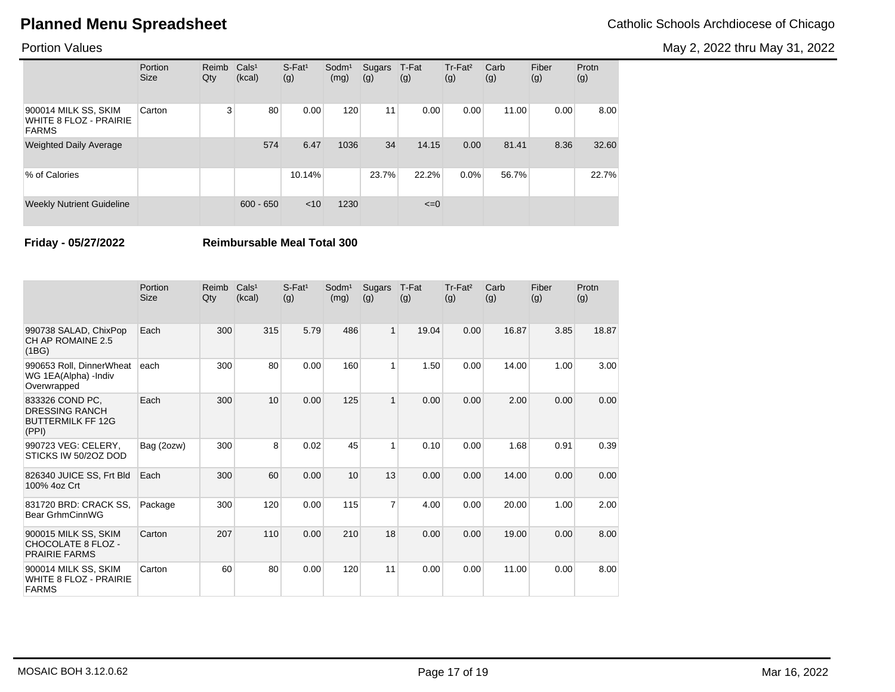May 2, 2022 thru May 31, 2022

### Portion Values

|                                                                | Portion<br><b>Size</b> | Reimb<br>Qty | Cals <sup>1</sup><br>(kcal) | $S$ -Fat <sup>1</sup><br>(g) | Sodm <sup>1</sup><br>(mg) | Sugars<br>(g) | T-Fat<br>(g) | $Tr-Fat2$<br>(g) | Carb<br>(g) | Fiber<br>(g) | Protn<br>(g) |
|----------------------------------------------------------------|------------------------|--------------|-----------------------------|------------------------------|---------------------------|---------------|--------------|------------------|-------------|--------------|--------------|
| 900014 MILK SS, SKIM<br>WHITE 8 FLOZ - PRAIRIE<br><b>FARMS</b> | Carton                 | 3            | 80                          | 0.00                         | 120                       | 11            | 0.00         | 0.00             | 11.00       | 0.00         | 8.00         |
| <b>Weighted Daily Average</b>                                  |                        |              | 574                         | 6.47                         | 1036                      | 34            | 14.15        | 0.00             | 81.41       | 8.36         | 32.60        |
| % of Calories                                                  |                        |              |                             | 10.14%                       |                           | 23.7%         | 22.2%        | $0.0\%$          | 56.7%       |              | 22.7%        |
| <b>Weekly Nutrient Guideline</b>                               |                        |              | $600 - 650$                 | < 10                         | 1230                      |               | $\leq=0$     |                  |             |              |              |

**Friday - 05/27/2022 Reimbursable Meal Total 300**

|                                                                               | Portion<br><b>Size</b> | Reimb<br>Qty | Cals <sup>1</sup><br>(kcal) | $S$ -Fat <sup>1</sup><br>(g) | Sodm <sup>1</sup><br>(mg) | Sugars<br>(g)  | T-Fat<br>(g) | Tr-Fat <sup>2</sup><br>(g) | Carb<br>(g) | Fiber<br>(g) | Protn<br>(g) |
|-------------------------------------------------------------------------------|------------------------|--------------|-----------------------------|------------------------------|---------------------------|----------------|--------------|----------------------------|-------------|--------------|--------------|
| 990738 SALAD, ChixPop<br>CH AP ROMAINE 2.5<br>(1BG)                           | Each                   | 300          | 315                         | 5.79                         | 486                       | $\mathbf{1}$   | 19.04        | 0.00                       | 16.87       | 3.85         | 18.87        |
| 990653 Roll, DinnerWheat<br>WG 1EA(Alpha) -Indiv<br>Overwrapped               | each                   | 300          | 80                          | 0.00                         | 160                       | $\mathbf{1}$   | 1.50         | 0.00                       | 14.00       | 1.00         | 3.00         |
| 833326 COND PC.<br><b>DRESSING RANCH</b><br><b>BUTTERMILK FF 12G</b><br>(PPI) | Each                   | 300          | 10                          | 0.00                         | 125                       | $\mathbf{1}$   | 0.00         | 0.00                       | 2.00        | 0.00         | 0.00         |
| 990723 VEG: CELERY,<br>STICKS IW 50/2OZ DOD                                   | Bag (2ozw)             | 300          | 8                           | 0.02                         | 45                        | 1              | 0.10         | 0.00                       | 1.68        | 0.91         | 0.39         |
| 826340 JUICE SS, Frt Bld<br>100% 4oz Crt                                      | Each                   | 300          | 60                          | 0.00                         | 10                        | 13             | 0.00         | 0.00                       | 14.00       | 0.00         | 0.00         |
| 831720 BRD: CRACK SS.<br>Bear GrhmCinnWG                                      | Package                | 300          | 120                         | 0.00                         | 115                       | $\overline{7}$ | 4.00         | 0.00                       | 20.00       | 1.00         | 2.00         |
| 900015 MILK SS, SKIM<br><b>CHOCOLATE 8 FLOZ -</b><br><b>PRAIRIE FARMS</b>     | Carton                 | 207          | 110                         | 0.00                         | 210                       | 18             | 0.00         | 0.00                       | 19.00       | 0.00         | 8.00         |
| 900014 MILK SS, SKIM<br><b>WHITE 8 FLOZ - PRAIRIE</b><br><b>FARMS</b>         | Carton                 | 60           | 80                          | 0.00                         | 120                       | 11             | 0.00         | 0.00                       | 11.00       | 0.00         | 8.00         |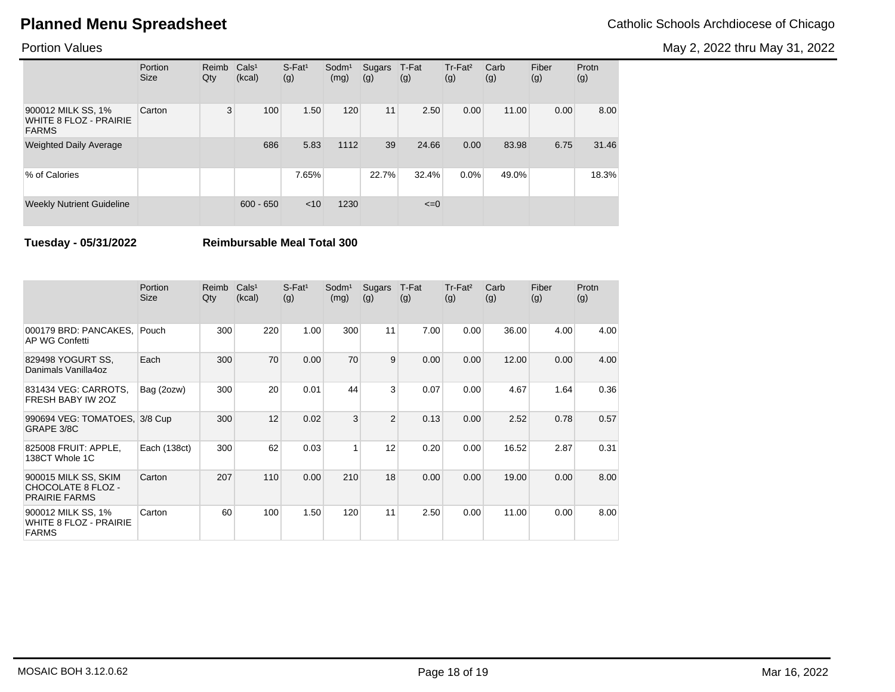May 2, 2022 thru May 31, 2022

### Portion Values

|                                                              | Portion<br><b>Size</b> | Reimb<br>Qty | Cals <sup>1</sup><br>(kcal) | $S-Fat1$<br>(g) | Sodm <sup>1</sup><br>(mg) | Sugars<br>(g) | T-Fat<br>(g) | Tr-Fat <sup>2</sup><br>(g) | Carb<br>(g) | Fiber<br>(g) | Protn<br>(g) |
|--------------------------------------------------------------|------------------------|--------------|-----------------------------|-----------------|---------------------------|---------------|--------------|----------------------------|-------------|--------------|--------------|
| 900012 MILK SS, 1%<br>WHITE 8 FLOZ - PRAIRIE<br><b>FARMS</b> | Carton                 | 3            | 100                         | 1.50            | 120                       | 11            | 2.50         | 0.00                       | 11.00       | 0.00         | 8.00         |
| <b>Weighted Daily Average</b>                                |                        |              | 686                         | 5.83            | 1112                      | 39            | 24.66        | 0.00                       | 83.98       | 6.75         | 31.46        |
| % of Calories                                                |                        |              |                             | 7.65%           |                           | 22.7%         | 32.4%        | $0.0\%$                    | 49.0%       |              | 18.3%        |
| <b>Weekly Nutrient Guideline</b>                             |                        |              | $600 - 650$                 | < 10            | 1230                      |               | $\leq=0$     |                            |             |              |              |

**Tuesday - 05/31/2022 Reimbursable Meal Total 300**

|                                                                     | Portion<br><b>Size</b> | Reimb<br>Qty | Cals <sup>1</sup><br>(kcal) | $S$ -Fat <sup>1</sup><br>(g) | Sodm <sup>1</sup><br>(mg) | Sugars<br>(g)  | T-Fat<br>(g) | $Tr-Fat2$<br>(g) | Carb<br>(g) | Fiber<br>(g) | Protn<br>(g) |
|---------------------------------------------------------------------|------------------------|--------------|-----------------------------|------------------------------|---------------------------|----------------|--------------|------------------|-------------|--------------|--------------|
| 000179 BRD: PANCAKES,<br>AP WG Confetti                             | Pouch                  | 300          | 220                         | 1.00                         | 300                       | 11             | 7.00         | 0.00             | 36.00       | 4.00         | 4.00         |
| 829498 YOGURT SS.<br>Danimals Vanilla4oz                            | Each                   | 300          | 70                          | 0.00                         | 70                        | 9              | 0.00         | 0.00             | 12.00       | 0.00         | 4.00         |
| 831434 VEG: CARROTS,<br>FRESH BABY IW 20Z                           | Bag (2ozw)             | 300          | 20                          | 0.01                         | 44                        | $\mathbf{3}$   | 0.07         | 0.00             | 4.67        | 1.64         | 0.36         |
| 990694 VEG: TOMATOES, 3/8 Cup<br>GRAPE 3/8C                         |                        | 300          | 12                          | 0.02                         | 3                         | $\overline{2}$ | 0.13         | 0.00             | 2.52        | 0.78         | 0.57         |
| 825008 FRUIT: APPLE,<br>138CT Whole 1C                              | Each (138ct)           | 300          | 62                          | 0.03                         | 1                         | 12             | 0.20         | 0.00             | 16.52       | 2.87         | 0.31         |
| 900015 MILK SS, SKIM<br>CHOCOLATE 8 FLOZ -<br><b>PRAIRIE FARMS</b>  | Carton                 | 207          | 110                         | 0.00                         | 210                       | 18             | 0.00         | 0.00             | 19.00       | 0.00         | 8.00         |
| 900012 MILK SS, 1%<br><b>WHITE 8 FLOZ - PRAIRIE</b><br><b>FARMS</b> | Carton                 | 60           | 100                         | 1.50                         | 120                       | 11             | 2.50         | 0.00             | 11.00       | 0.00         | 8.00         |